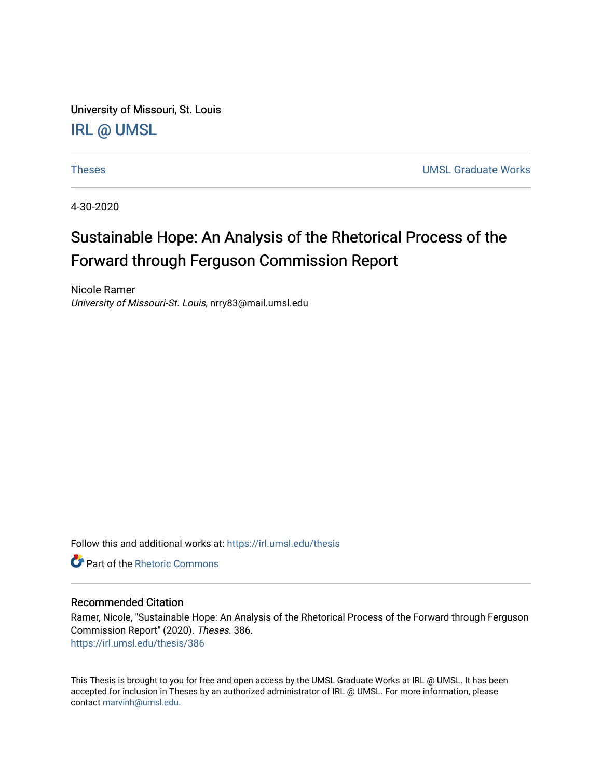University of Missouri, St. Louis [IRL @ UMSL](https://irl.umsl.edu/) 

[Theses](https://irl.umsl.edu/thesis) [UMSL Graduate Works](https://irl.umsl.edu/grad) 

4-30-2020

# Sustainable Hope: An Analysis of the Rhetorical Process of the Forward through Ferguson Commission Report

Nicole Ramer University of Missouri-St. Louis, nrry83@mail.umsl.edu

Follow this and additional works at: [https://irl.umsl.edu/thesis](https://irl.umsl.edu/thesis?utm_source=irl.umsl.edu%2Fthesis%2F386&utm_medium=PDF&utm_campaign=PDFCoverPages) 

**C** Part of the Rhetoric Commons

#### Recommended Citation

Ramer, Nicole, "Sustainable Hope: An Analysis of the Rhetorical Process of the Forward through Ferguson Commission Report" (2020). Theses. 386. [https://irl.umsl.edu/thesis/386](https://irl.umsl.edu/thesis/386?utm_source=irl.umsl.edu%2Fthesis%2F386&utm_medium=PDF&utm_campaign=PDFCoverPages) 

This Thesis is brought to you for free and open access by the UMSL Graduate Works at IRL @ UMSL. It has been accepted for inclusion in Theses by an authorized administrator of IRL @ UMSL. For more information, please contact [marvinh@umsl.edu.](mailto:marvinh@umsl.edu)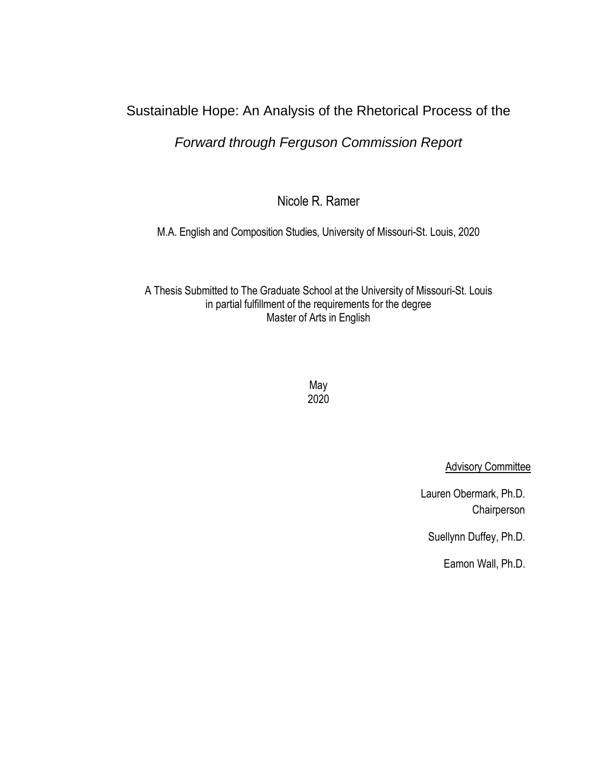## Sustainable Hope: An Analysis of the Rhetorical Process of the

## *Forward through Ferguson Commission Report*

Nicole R. Ramer

M.A. English and Composition Studies, University of Missouri-St. Louis, 2020

A Thesis Submitted to The Graduate School at the University of Missouri-St. Louis in partial fulfillment of the requirements for the degree Master of Arts in English

> May 2020

> > **Advisory Committee**

Lauren Obermark, Ph.D. **Chairperson** 

Suellynn Duffey, Ph.D.

Eamon Wall, Ph.D.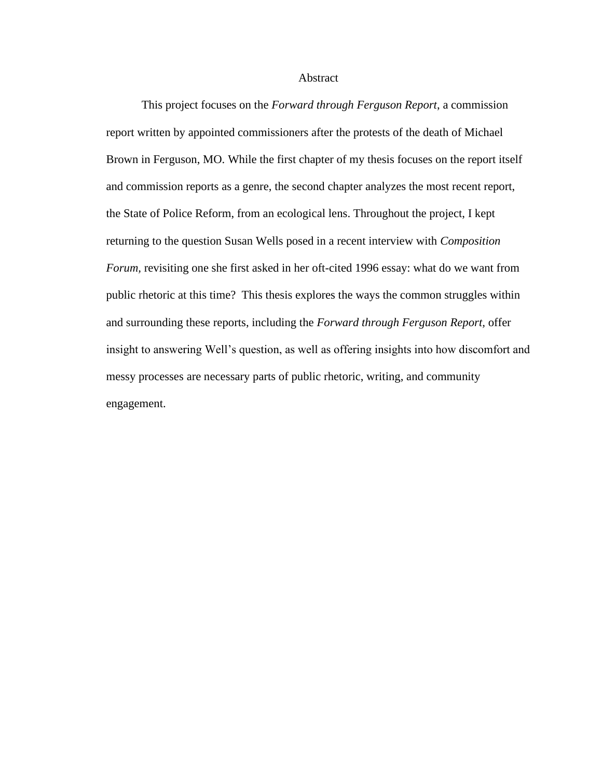Abstract

This project focuses on the *Forward through Ferguson Report*, a commission report written by appointed commissioners after the protests of the death of Michael Brown in Ferguson, MO. While the first chapter of my thesis focuses on the report itself and commission reports as a genre, the second chapter analyzes the most recent report, the State of Police Reform, from an ecological lens. Throughout the project, I kept returning to the question Susan Wells posed in a recent interview with *Composition Forum,* revisiting one she first asked in her oft-cited 1996 essay: what do we want from public rhetoric at this time? This thesis explores the ways the common struggles within and surrounding these reports, including the *Forward through Ferguson Report,* offer insight to answering Well's question, as well as offering insights into how discomfort and messy processes are necessary parts of public rhetoric, writing, and community engagement.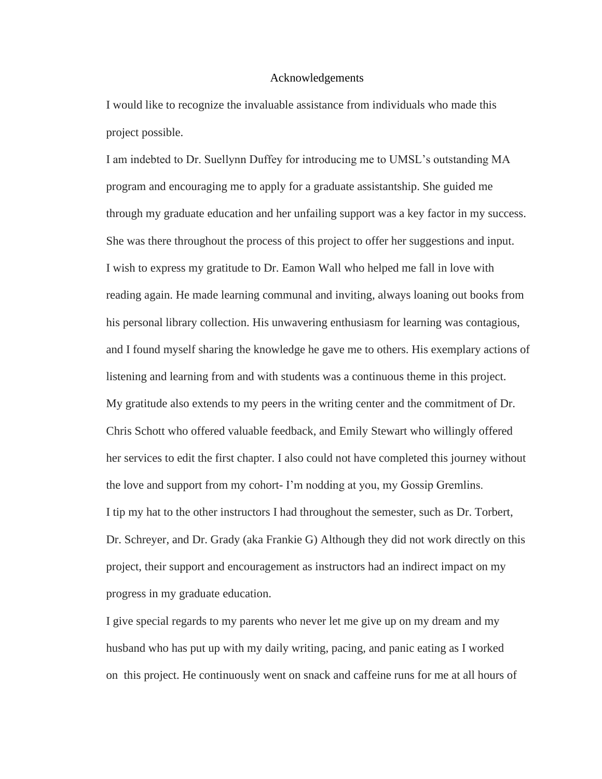#### Acknowledgements

I would like to recognize the invaluable assistance from individuals who made this project possible.

I am indebted to Dr. Suellynn Duffey for introducing me to UMSL's outstanding MA program and encouraging me to apply for a graduate assistantship. She guided me through my graduate education and her unfailing support was a key factor in my success. She was there throughout the process of this project to offer her suggestions and input. I wish to express my gratitude to Dr. Eamon Wall who helped me fall in love with reading again. He made learning communal and inviting, always loaning out books from his personal library collection. His unwavering enthusiasm for learning was contagious, and I found myself sharing the knowledge he gave me to others. His exemplary actions of listening and learning from and with students was a continuous theme in this project. My gratitude also extends to my peers in the writing center and the commitment of Dr. Chris Schott who offered valuable feedback, and Emily Stewart who willingly offered her services to edit the first chapter. I also could not have completed this journey without the love and support from my cohort- I'm nodding at you, my Gossip Gremlins. I tip my hat to the other instructors I had throughout the semester, such as Dr. Torbert, Dr. Schreyer, and Dr. Grady (aka Frankie G) Although they did not work directly on this project, their support and encouragement as instructors had an indirect impact on my progress in my graduate education.

I give special regards to my parents who never let me give up on my dream and my husband who has put up with my daily writing, pacing, and panic eating as I worked on this project. He continuously went on snack and caffeine runs for me at all hours of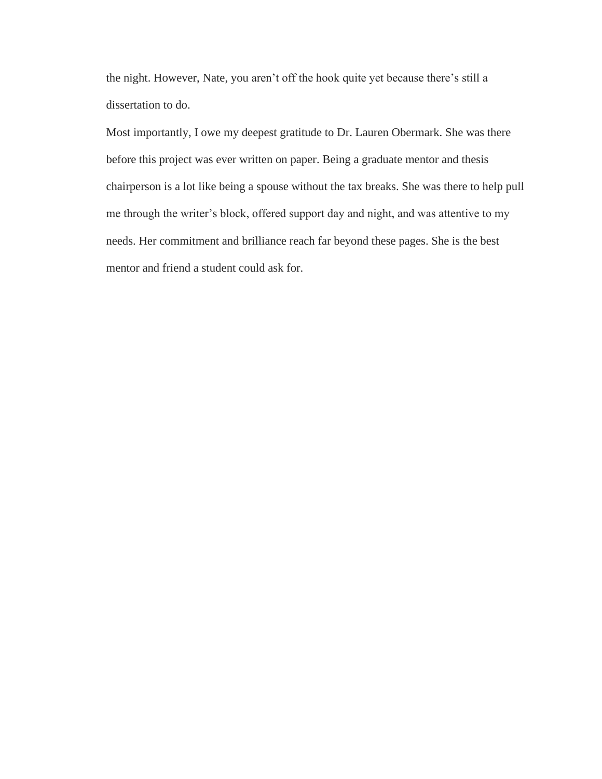the night. However, Nate, you aren't off the hook quite yet because there's still a dissertation to do.

Most importantly, I owe my deepest gratitude to Dr. Lauren Obermark. She was there before this project was ever written on paper. Being a graduate mentor and thesis chairperson is a lot like being a spouse without the tax breaks. She was there to help pull me through the writer's block, offered support day and night, and was attentive to my needs. Her commitment and brilliance reach far beyond these pages. She is the best mentor and friend a student could ask for.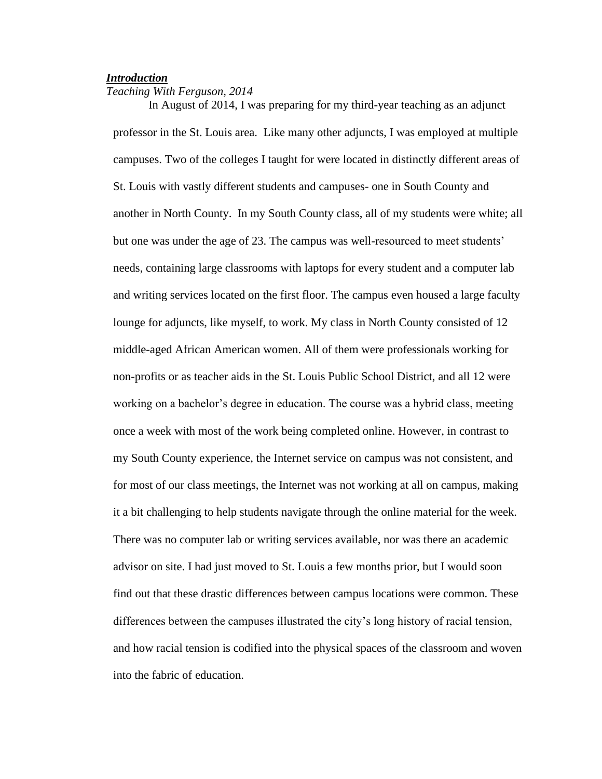## *Introduction*

## *Teaching With Ferguson, 2014*

In August of 2014, I was preparing for my third-year teaching as an adjunct professor in the St. Louis area. Like many other adjuncts, I was employed at multiple campuses. Two of the colleges I taught for were located in distinctly different areas of St. Louis with vastly different students and campuses- one in South County and another in North County. In my South County class, all of my students were white; all but one was under the age of 23. The campus was well-resourced to meet students' needs, containing large classrooms with laptops for every student and a computer lab and writing services located on the first floor. The campus even housed a large faculty lounge for adjuncts, like myself, to work. My class in North County consisted of 12 middle-aged African American women. All of them were professionals working for non-profits or as teacher aids in the St. Louis Public School District, and all 12 were working on a bachelor's degree in education. The course was a hybrid class, meeting once a week with most of the work being completed online. However, in contrast to my South County experience, the Internet service on campus was not consistent, and for most of our class meetings, the Internet was not working at all on campus, making it a bit challenging to help students navigate through the online material for the week. There was no computer lab or writing services available, nor was there an academic advisor on site. I had just moved to St. Louis a few months prior, but I would soon find out that these drastic differences between campus locations were common. These differences between the campuses illustrated the city's long history of racial tension, and how racial tension is codified into the physical spaces of the classroom and woven into the fabric of education.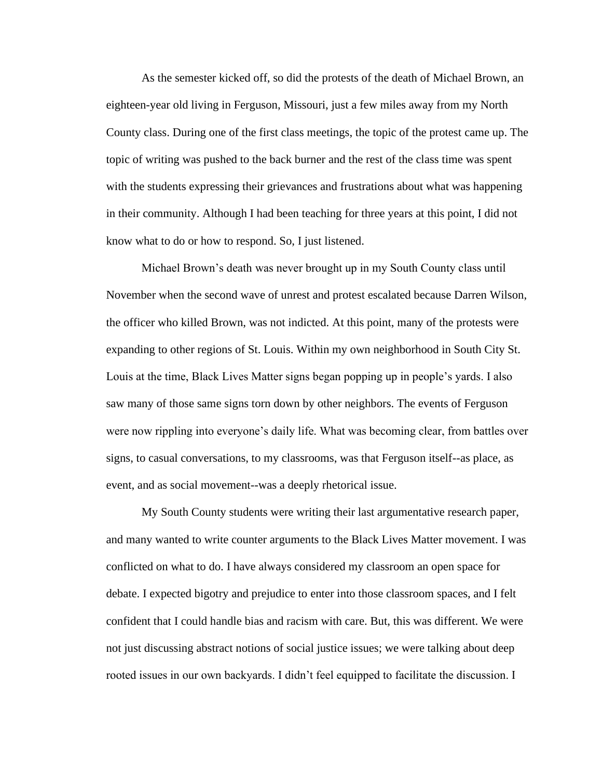As the semester kicked off, so did the protests of the death of Michael Brown, an eighteen-year old living in Ferguson, Missouri, just a few miles away from my North County class. During one of the first class meetings, the topic of the protest came up. The topic of writing was pushed to the back burner and the rest of the class time was spent with the students expressing their grievances and frustrations about what was happening in their community. Although I had been teaching for three years at this point, I did not know what to do or how to respond. So, I just listened.

Michael Brown's death was never brought up in my South County class until November when the second wave of unrest and protest escalated because Darren Wilson, the officer who killed Brown, was not indicted. At this point, many of the protests were expanding to other regions of St. Louis. Within my own neighborhood in South City St. Louis at the time, Black Lives Matter signs began popping up in people's yards. I also saw many of those same signs torn down by other neighbors. The events of Ferguson were now rippling into everyone's daily life. What was becoming clear, from battles over signs, to casual conversations, to my classrooms, was that Ferguson itself--as place, as event, and as social movement--was a deeply rhetorical issue.

My South County students were writing their last argumentative research paper, and many wanted to write counter arguments to the Black Lives Matter movement. I was conflicted on what to do. I have always considered my classroom an open space for debate. I expected bigotry and prejudice to enter into those classroom spaces, and I felt confident that I could handle bias and racism with care. But, this was different. We were not just discussing abstract notions of social justice issues; we were talking about deep rooted issues in our own backyards. I didn't feel equipped to facilitate the discussion. I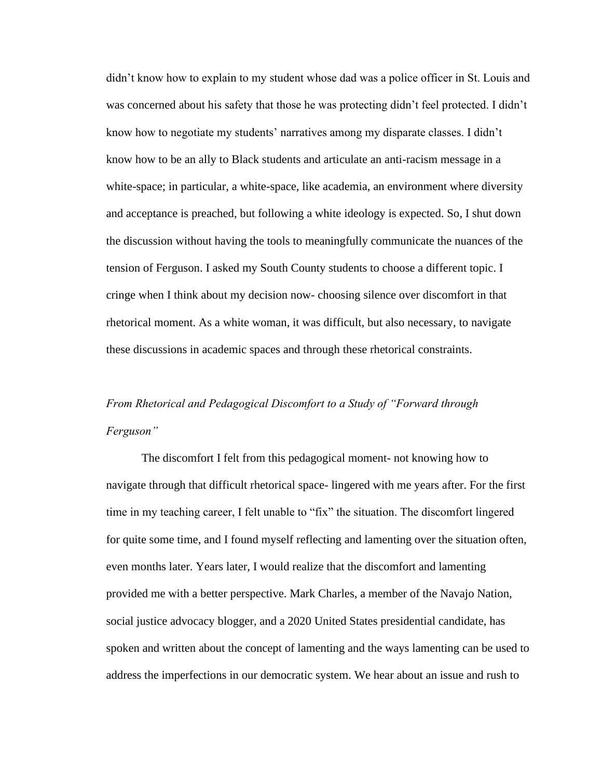didn't know how to explain to my student whose dad was a police officer in St. Louis and was concerned about his safety that those he was protecting didn't feel protected. I didn't know how to negotiate my students' narratives among my disparate classes. I didn't know how to be an ally to Black students and articulate an anti-racism message in a white-space; in particular, a white-space, like academia, an environment where diversity and acceptance is preached, but following a white ideology is expected. So, I shut down the discussion without having the tools to meaningfully communicate the nuances of the tension of Ferguson. I asked my South County students to choose a different topic. I cringe when I think about my decision now- choosing silence over discomfort in that rhetorical moment. As a white woman, it was difficult, but also necessary, to navigate these discussions in academic spaces and through these rhetorical constraints.

## *From Rhetorical and Pedagogical Discomfort to a Study of "Forward through Ferguson"*

The discomfort I felt from this pedagogical moment- not knowing how to navigate through that difficult rhetorical space- lingered with me years after. For the first time in my teaching career, I felt unable to "fix" the situation. The discomfort lingered for quite some time, and I found myself reflecting and lamenting over the situation often, even months later. Years later, I would realize that the discomfort and lamenting provided me with a better perspective. Mark Charles, a member of the Navajo Nation, social justice advocacy blogger, and a 2020 United States presidential candidate, has spoken and written about the concept of lamenting and the ways lamenting can be used to address the imperfections in our democratic system. We hear about an issue and rush to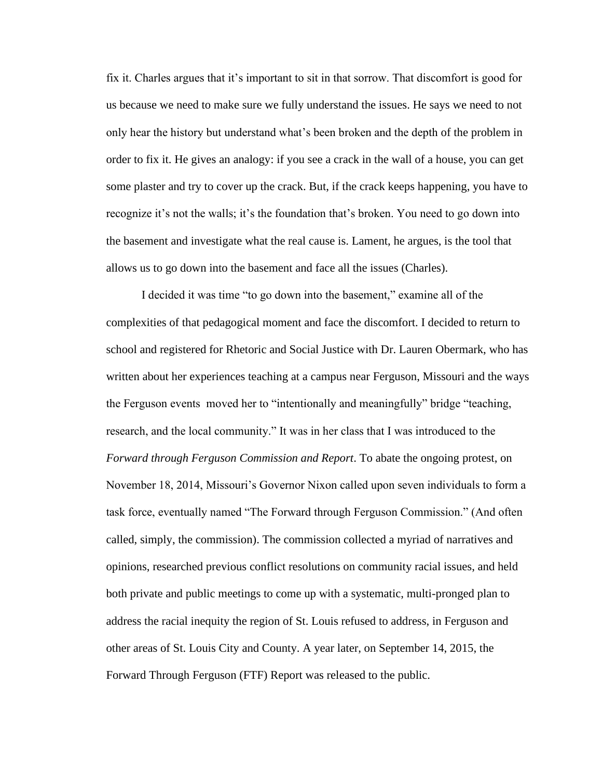fix it. Charles argues that it's important to sit in that sorrow. That discomfort is good for us because we need to make sure we fully understand the issues. He says we need to not only hear the history but understand what's been broken and the depth of the problem in order to fix it. He gives an analogy: if you see a crack in the wall of a house, you can get some plaster and try to cover up the crack. But, if the crack keeps happening, you have to recognize it's not the walls; it's the foundation that's broken. You need to go down into the basement and investigate what the real cause is. Lament, he argues, is the tool that allows us to go down into the basement and face all the issues (Charles).

 I decided it was time "to go down into the basement," examine all of the complexities of that pedagogical moment and face the discomfort. I decided to return to school and registered for Rhetoric and Social Justice with Dr. Lauren Obermark, who has written about her experiences teaching at a campus near Ferguson, Missouri and the ways the Ferguson events moved her to "intentionally and meaningfully" bridge "teaching, research, and the local community." It was in her class that I was introduced to the *Forward through Ferguson Commission and Report*. To abate the ongoing protest, on November 18, 2014, Missouri's Governor Nixon called upon seven individuals to form a task force, eventually named "The Forward through Ferguson Commission." (And often called, simply, the commission). The commission collected a myriad of narratives and opinions, researched previous conflict resolutions on community racial issues, and held both private and public meetings to come up with a systematic, multi-pronged plan to address the racial inequity the region of St. Louis refused to address, in Ferguson and other areas of St. Louis City and County. A year later, on September 14, 2015, the Forward Through Ferguson (FTF) Report was released to the public.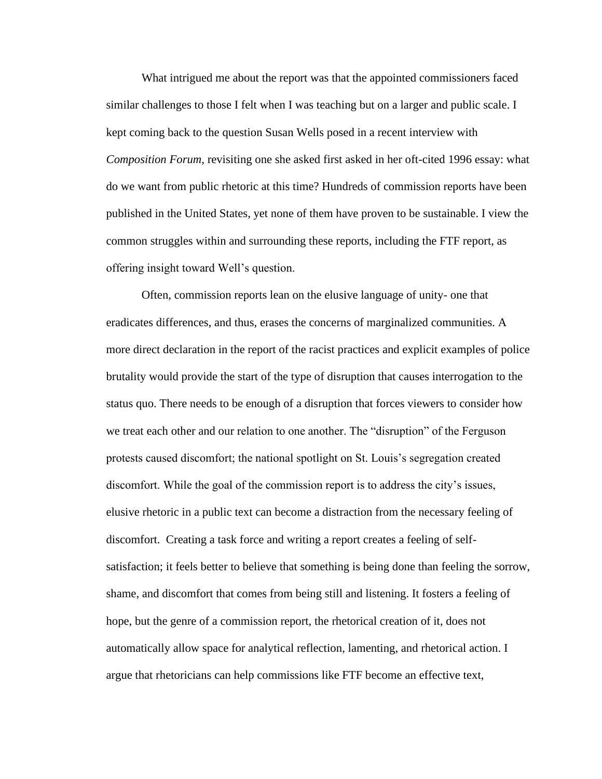What intrigued me about the report was that the appointed commissioners faced similar challenges to those I felt when I was teaching but on a larger and public scale. I kept coming back to the question Susan Wells posed in a recent interview with *Composition Forum,* revisiting one she asked first asked in her oft-cited 1996 essay: what do we want from public rhetoric at this time? Hundreds of commission reports have been published in the United States, yet none of them have proven to be sustainable. I view the common struggles within and surrounding these reports, including the FTF report, as offering insight toward Well's question.

Often, commission reports lean on the elusive language of unity- one that eradicates differences, and thus, erases the concerns of marginalized communities. A more direct declaration in the report of the racist practices and explicit examples of police brutality would provide the start of the type of disruption that causes interrogation to the status quo. There needs to be enough of a disruption that forces viewers to consider how we treat each other and our relation to one another. The "disruption" of the Ferguson protests caused discomfort; the national spotlight on St. Louis's segregation created discomfort. While the goal of the commission report is to address the city's issues, elusive rhetoric in a public text can become a distraction from the necessary feeling of discomfort. Creating a task force and writing a report creates a feeling of selfsatisfaction; it feels better to believe that something is being done than feeling the sorrow, shame, and discomfort that comes from being still and listening. It fosters a feeling of hope, but the genre of a commission report, the rhetorical creation of it, does not automatically allow space for analytical reflection, lamenting, and rhetorical action. I argue that rhetoricians can help commissions like FTF become an effective text,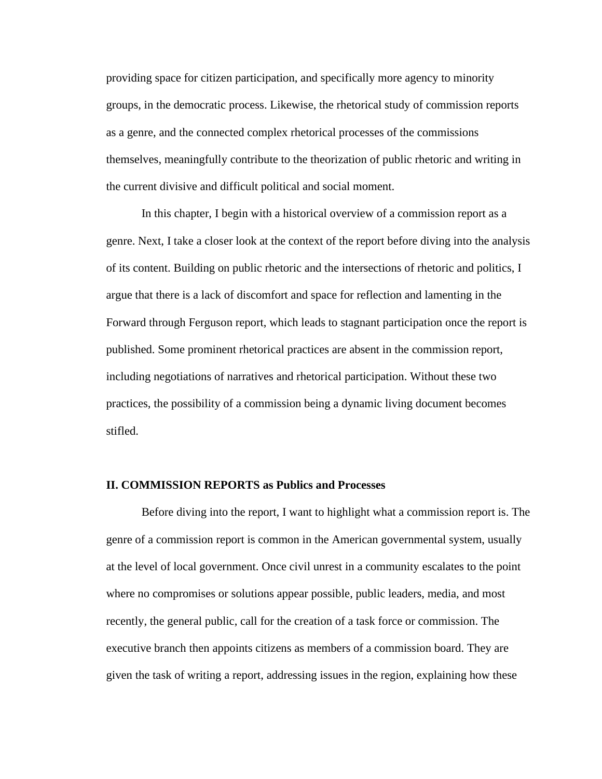providing space for citizen participation, and specifically more agency to minority groups, in the democratic process. Likewise, the rhetorical study of commission reports as a genre, and the connected complex rhetorical processes of the commissions themselves, meaningfully contribute to the theorization of public rhetoric and writing in the current divisive and difficult political and social moment.

In this chapter, I begin with a historical overview of a commission report as a genre. Next, I take a closer look at the context of the report before diving into the analysis of its content. Building on public rhetoric and the intersections of rhetoric and politics, I argue that there is a lack of discomfort and space for reflection and lamenting in the Forward through Ferguson report, which leads to stagnant participation once the report is published. Some prominent rhetorical practices are absent in the commission report, including negotiations of narratives and rhetorical participation. Without these two practices, the possibility of a commission being a dynamic living document becomes stifled.

### **II. COMMISSION REPORTS as Publics and Processes**

Before diving into the report, I want to highlight what a commission report is. The genre of a commission report is common in the American governmental system, usually at the level of local government. Once civil unrest in a community escalates to the point where no compromises or solutions appear possible, public leaders, media, and most recently, the general public, call for the creation of a task force or commission. The executive branch then appoints citizens as members of a commission board. They are given the task of writing a report, addressing issues in the region, explaining how these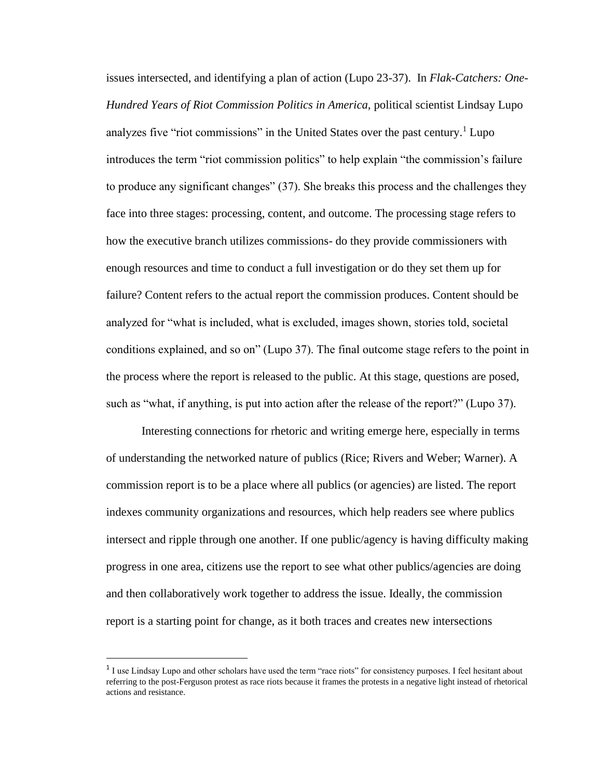issues intersected, and identifying a plan of action (Lupo 23-37). In *Flak-Catchers: One-Hundred Years of Riot Commission Politics in America,* political scientist Lindsay Lupo analyzes five "riot commissions" in the United States over the past century.<sup>1</sup> Lupo introduces the term "riot commission politics" to help explain "the commission's failure to produce any significant changes" (37). She breaks this process and the challenges they face into three stages: processing, content, and outcome. The processing stage refers to how the executive branch utilizes commissions- do they provide commissioners with enough resources and time to conduct a full investigation or do they set them up for failure? Content refers to the actual report the commission produces. Content should be analyzed for "what is included, what is excluded, images shown, stories told, societal conditions explained, and so on" (Lupo 37). The final outcome stage refers to the point in the process where the report is released to the public. At this stage, questions are posed, such as "what, if anything, is put into action after the release of the report?" (Lupo 37).

Interesting connections for rhetoric and writing emerge here, especially in terms of understanding the networked nature of publics (Rice; Rivers and Weber; Warner). A commission report is to be a place where all publics (or agencies) are listed. The report indexes community organizations and resources, which help readers see where publics intersect and ripple through one another. If one public/agency is having difficulty making progress in one area, citizens use the report to see what other publics/agencies are doing and then collaboratively work together to address the issue. Ideally, the commission report is a starting point for change, as it both traces and creates new intersections

<sup>&</sup>lt;sup>1</sup> I use Lindsay Lupo and other scholars have used the term "race riots" for consistency purposes. I feel hesitant about referring to the post-Ferguson protest as race riots because it frames the protests in a negative light instead of rhetorical actions and resistance.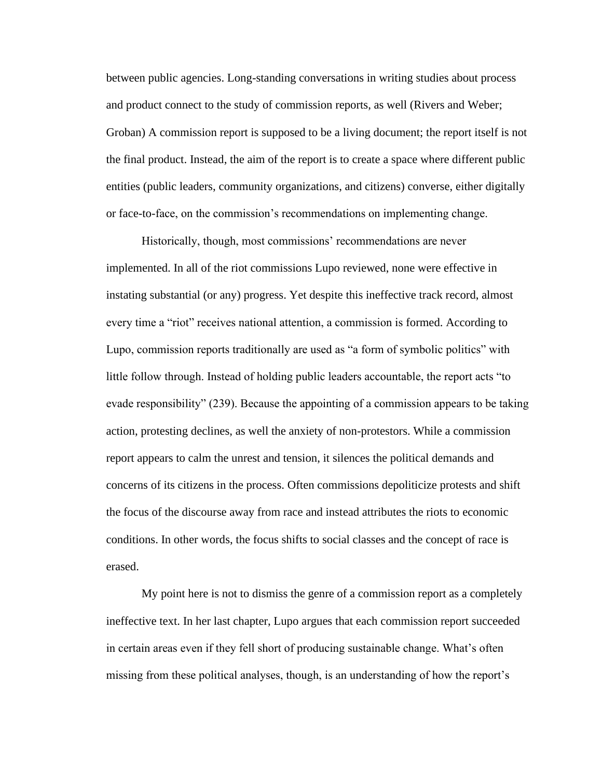between public agencies. Long-standing conversations in writing studies about process and product connect to the study of commission reports, as well (Rivers and Weber; Groban) A commission report is supposed to be a living document; the report itself is not the final product. Instead, the aim of the report is to create a space where different public entities (public leaders, community organizations, and citizens) converse, either digitally or face-to-face, on the commission's recommendations on implementing change.

Historically, though, most commissions' recommendations are never implemented. In all of the riot commissions Lupo reviewed, none were effective in instating substantial (or any) progress. Yet despite this ineffective track record, almost every time a "riot" receives national attention, a commission is formed. According to Lupo, commission reports traditionally are used as "a form of symbolic politics" with little follow through. Instead of holding public leaders accountable, the report acts "to evade responsibility" (239). Because the appointing of a commission appears to be taking action, protesting declines, as well the anxiety of non-protestors. While a commission report appears to calm the unrest and tension, it silences the political demands and concerns of its citizens in the process. Often commissions depoliticize protests and shift the focus of the discourse away from race and instead attributes the riots to economic conditions. In other words, the focus shifts to social classes and the concept of race is erased.

My point here is not to dismiss the genre of a commission report as a completely ineffective text. In her last chapter, Lupo argues that each commission report succeeded in certain areas even if they fell short of producing sustainable change. What's often missing from these political analyses, though, is an understanding of how the report's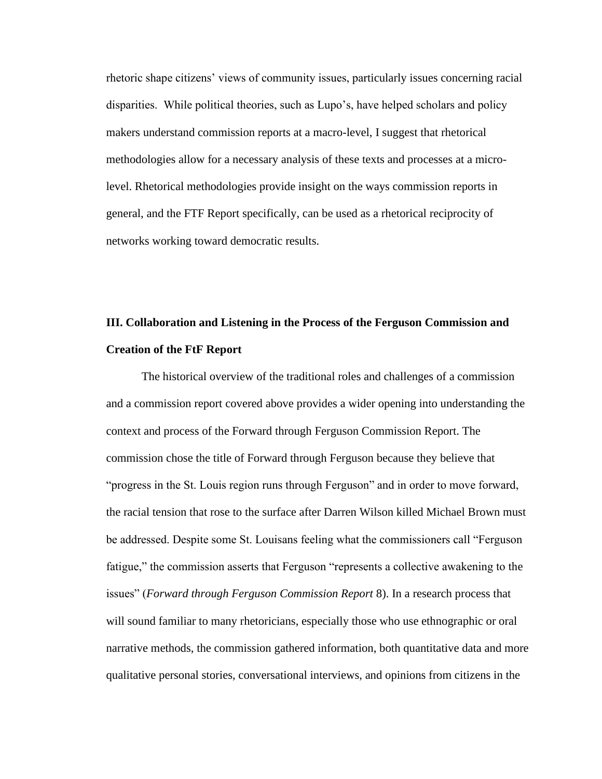rhetoric shape citizens' views of community issues, particularly issues concerning racial disparities. While political theories, such as Lupo's, have helped scholars and policy makers understand commission reports at a macro-level, I suggest that rhetorical methodologies allow for a necessary analysis of these texts and processes at a microlevel. Rhetorical methodologies provide insight on the ways commission reports in general, and the FTF Report specifically, can be used as a rhetorical reciprocity of networks working toward democratic results.

## **III. Collaboration and Listening in the Process of the Ferguson Commission and Creation of the FtF Report**

The historical overview of the traditional roles and challenges of a commission and a commission report covered above provides a wider opening into understanding the context and process of the Forward through Ferguson Commission Report. The commission chose the title of Forward through Ferguson because they believe that "progress in the St. Louis region runs through Ferguson" and in order to move forward, the racial tension that rose to the surface after Darren Wilson killed Michael Brown must be addressed. Despite some St. Louisans feeling what the commissioners call "Ferguson fatigue," the commission asserts that Ferguson "represents a collective awakening to the issues" (*Forward through Ferguson Commission Report* 8). In a research process that will sound familiar to many rhetoricians, especially those who use ethnographic or oral narrative methods, the commission gathered information, both quantitative data and more qualitative personal stories, conversational interviews, and opinions from citizens in the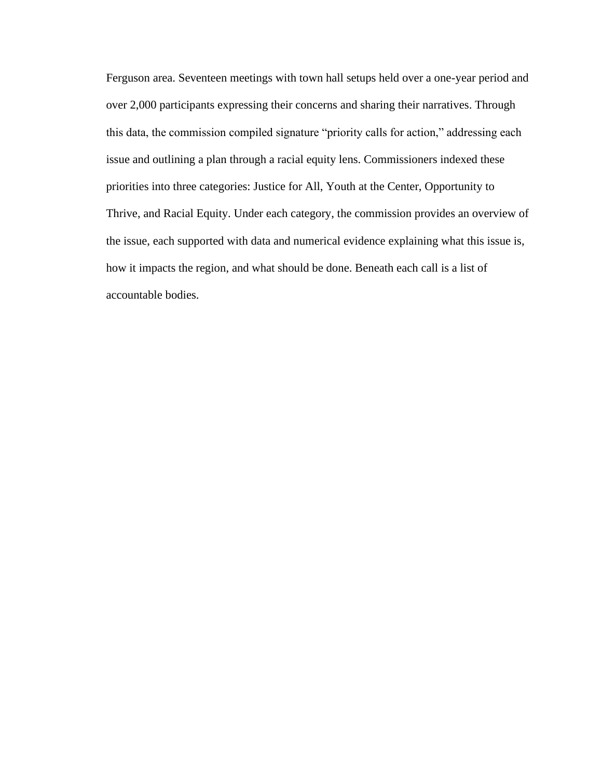Ferguson area. Seventeen meetings with town hall setups held over a one-year period and over 2,000 participants expressing their concerns and sharing their narratives. Through this data, the commission compiled signature "priority calls for action," addressing each issue and outlining a plan through a racial equity lens. Commissioners indexed these priorities into three categories: Justice for All, Youth at the Center, Opportunity to Thrive, and Racial Equity. Under each category, the commission provides an overview of the issue, each supported with data and numerical evidence explaining what this issue is, how it impacts the region, and what should be done. Beneath each call is a list of accountable bodies.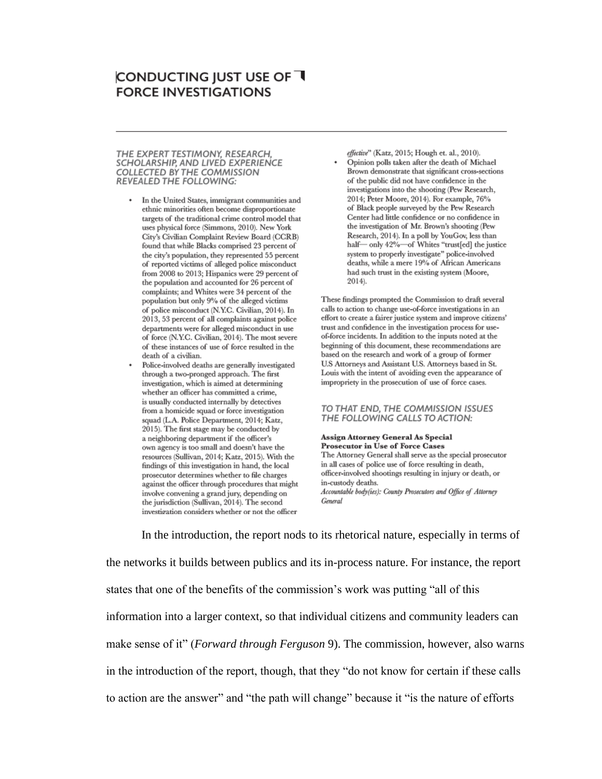## **CONDUCTING JUST USE OF T FORCE INVESTIGATIONS**

#### THE EXPERT TESTIMONY, RESEARCH. SCHOLARSHIP, AND LIVED EXPERIENCE COLLECTED BY THE COMMISSION REVEALED THE FOLLOWING:

- In the United States, immigrant communities and ethnic minorities often become disproportionate targets of the traditional crime control model that uses physical force (Simmons, 2010). New York City's Civilian Complaint Review Board (CCRB) found that while Blacks comprised 23 percent of the city's population, they represented 55 percent of reported victims of alleged police misconduct from 2008 to 2013; Hispanics were 29 percent of the population and accounted for 26 percent of complaints; and Whites were 34 percent of the population but only 9% of the alleged victims of police misconduct (N.Y.C. Civilian, 2014). In 2013, 53 percent of all complaints against police departments were for alleged misconduct in use of force (N.Y.C. Civilian, 2014). The most severe of these instances of use of force resulted in the death of a civilian.
- Police-involved deaths are generally investigated through a two-pronged approach. The first investigation, which is aimed at determining whether an officer has committed a crime, is usually conducted internally by detectives from a homicide squad or force investigation squad (L.A. Police Department, 2014; Katz, 2015). The first stage may be conducted by a neighboring department if the officer's own agency is too small and doesn't have the resources (Sullivan, 2014; Katz, 2015). With the findings of this investigation in hand, the local prosecutor determines whether to file charges against the officer through procedures that might involve convening a grand jury, depending on the jurisdiction (Sullivan, 2014). The second investigation considers whether or not the officer

effective" (Katz, 2015; Hough et. al., 2010). Opinion polls taken after the death of Michael Brown demonstrate that significant cross-sections of the public did not have confidence in the investigations into the shooting (Pew Research, 2014; Peter Moore, 2014). For example, 76% of Black people surveyed by the Pew Research Center had little confidence or no confidence in the investigation of Mr. Brown's shooting (Pew Research, 2014). In a poll by YouGov, less than half-only 42%-of Whites "trust[ed] the justice system to properly investigate" police-involved deaths, while a mere 19% of African Americans had such trust in the existing system (Moore, 2014).

These findings prompted the Commission to draft several calls to action to change use-of-force investigations in an effort to create a fairer justice system and improve citizens' trust and confidence in the investigation process for useof-force incidents. In addition to the inputs noted at the beginning of this document, these recommendations are based on the research and work of a group of former U.S Attorneys and Assistant U.S. Attorneys based in St. Louis with the intent of avoiding even the appearance of impropriety in the prosecution of use of force cases.

#### TO THAT END. THE COMMISSION ISSUES THE FOLLOWING CALLS TO ACTION:

Assign Attorney General As Special **Prosecutor in Use of Force Cases** The Attorney General shall serve as the special prosecutor in all cases of police use of force resulting in death, officer-involved shootings resulting in injury or death, or in-custody deaths. Accountable body(ies): County Prosecutors and Office of Attorney General

In the introduction, the report nods to its rhetorical nature, especially in terms of the networks it builds between publics and its in-process nature. For instance, the report states that one of the benefits of the commission's work was putting "all of this information into a larger context, so that individual citizens and community leaders can make sense of it" (*Forward through Ferguson* 9). The commission, however, also warns in the introduction of the report, though, that they "do not know for certain if these calls to action are the answer" and "the path will change" because it "is the nature of efforts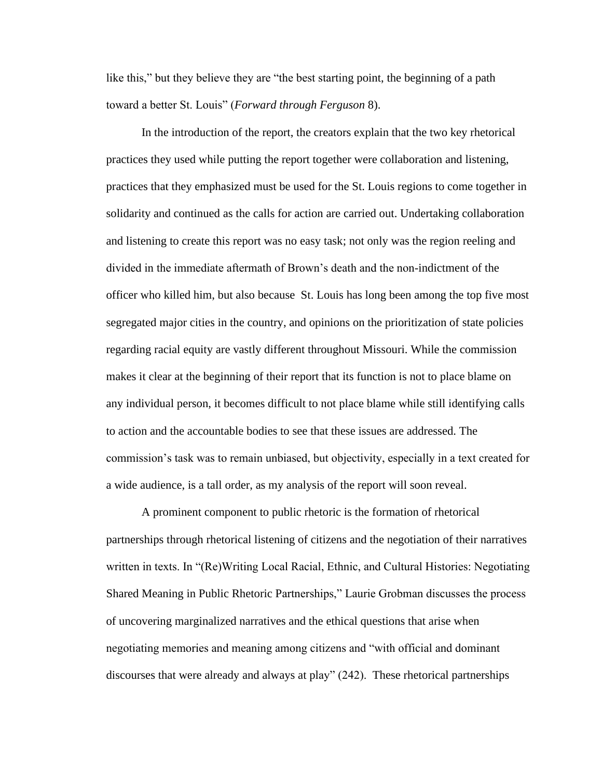like this," but they believe they are "the best starting point, the beginning of a path toward a better St. Louis" (*Forward through Ferguson* 8).

In the introduction of the report, the creators explain that the two key rhetorical practices they used while putting the report together were collaboration and listening, practices that they emphasized must be used for the St. Louis regions to come together in solidarity and continued as the calls for action are carried out. Undertaking collaboration and listening to create this report was no easy task; not only was the region reeling and divided in the immediate aftermath of Brown's death and the non-indictment of the officer who killed him, but also because St. Louis has long been among the top five most segregated major cities in the country, and opinions on the prioritization of state policies regarding racial equity are vastly different throughout Missouri. While the commission makes it clear at the beginning of their report that its function is not to place blame on any individual person, it becomes difficult to not place blame while still identifying calls to action and the accountable bodies to see that these issues are addressed. The commission's task was to remain unbiased, but objectivity, especially in a text created for a wide audience, is a tall order, as my analysis of the report will soon reveal.

 A prominent component to public rhetoric is the formation of rhetorical partnerships through rhetorical listening of citizens and the negotiation of their narratives written in texts. In "(Re)Writing Local Racial, Ethnic, and Cultural Histories: Negotiating Shared Meaning in Public Rhetoric Partnerships," Laurie Grobman discusses the process of uncovering marginalized narratives and the ethical questions that arise when negotiating memories and meaning among citizens and "with official and dominant discourses that were already and always at play" (242). These rhetorical partnerships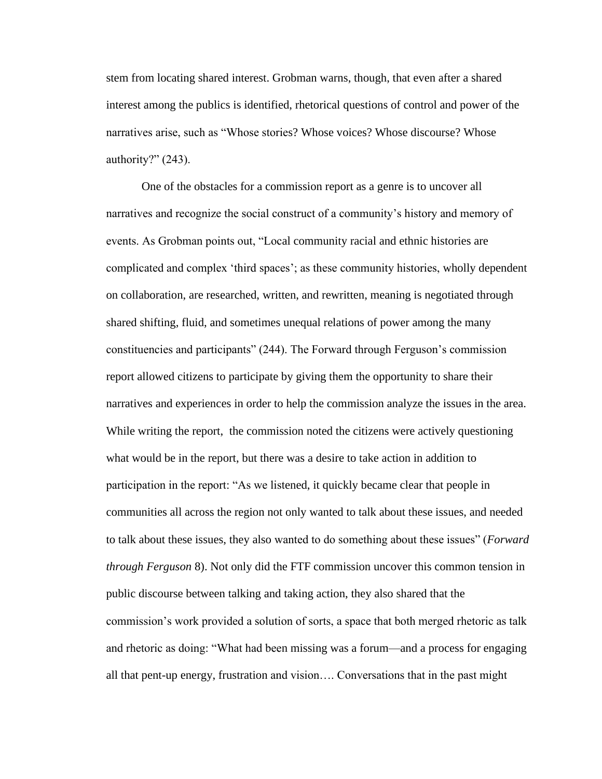stem from locating shared interest. Grobman warns, though, that even after a shared interest among the publics is identified, rhetorical questions of control and power of the narratives arise, such as "Whose stories? Whose voices? Whose discourse? Whose authority?" (243).

 One of the obstacles for a commission report as a genre is to uncover all narratives and recognize the social construct of a community's history and memory of events. As Grobman points out, "Local community racial and ethnic histories are complicated and complex 'third spaces'; as these community histories, wholly dependent on collaboration, are researched, written, and rewritten, meaning is negotiated through shared shifting, fluid, and sometimes unequal relations of power among the many constituencies and participants" (244). The Forward through Ferguson's commission report allowed citizens to participate by giving them the opportunity to share their narratives and experiences in order to help the commission analyze the issues in the area. While writing the report, the commission noted the citizens were actively questioning what would be in the report, but there was a desire to take action in addition to participation in the report: "As we listened, it quickly became clear that people in communities all across the region not only wanted to talk about these issues, and needed to talk about these issues, they also wanted to do something about these issues" (*Forward through Ferguson* 8). Not only did the FTF commission uncover this common tension in public discourse between talking and taking action, they also shared that the commission's work provided a solution of sorts, a space that both merged rhetoric as talk and rhetoric as doing: "What had been missing was a forum—and a process for engaging all that pent-up energy, frustration and vision…. Conversations that in the past might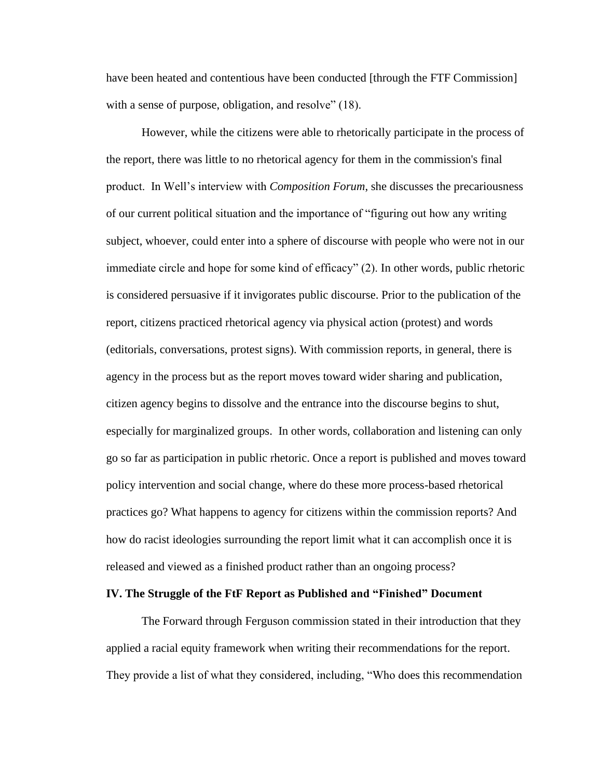have been heated and contentious have been conducted [through the FTF Commission] with a sense of purpose, obligation, and resolve" (18).

However, while the citizens were able to rhetorically participate in the process of the report, there was little to no rhetorical agency for them in the commission's final product. In Well's interview with *Composition Forum*, she discusses the precariousness of our current political situation and the importance of "figuring out how any writing subject, whoever, could enter into a sphere of discourse with people who were not in our immediate circle and hope for some kind of efficacy" (2). In other words, public rhetoric is considered persuasive if it invigorates public discourse. Prior to the publication of the report, citizens practiced rhetorical agency via physical action (protest) and words (editorials, conversations, protest signs). With commission reports, in general, there is agency in the process but as the report moves toward wider sharing and publication, citizen agency begins to dissolve and the entrance into the discourse begins to shut, especially for marginalized groups. In other words, collaboration and listening can only go so far as participation in public rhetoric. Once a report is published and moves toward policy intervention and social change, where do these more process-based rhetorical practices go? What happens to agency for citizens within the commission reports? And how do racist ideologies surrounding the report limit what it can accomplish once it is released and viewed as a finished product rather than an ongoing process?

#### **IV. The Struggle of the FtF Report as Published and "Finished" Document**

The Forward through Ferguson commission stated in their introduction that they applied a racial equity framework when writing their recommendations for the report. They provide a list of what they considered, including, "Who does this recommendation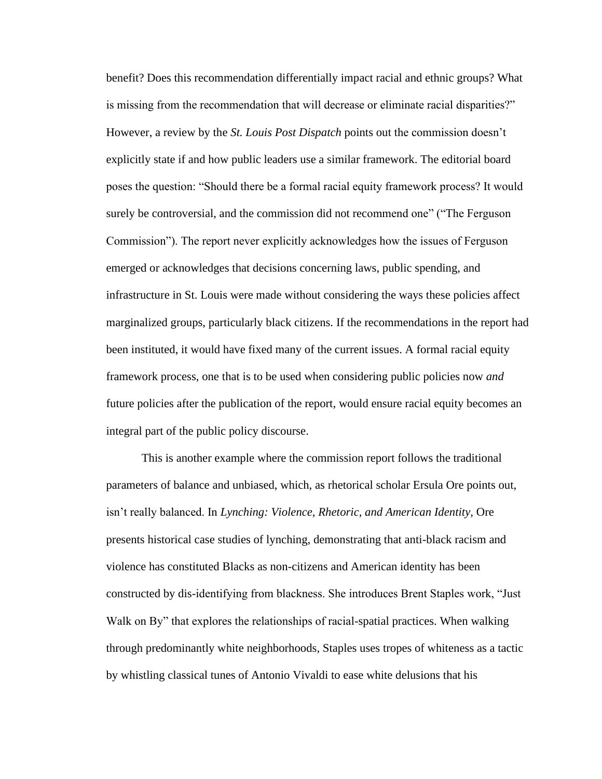benefit? Does this recommendation differentially impact racial and ethnic groups? What is missing from the recommendation that will decrease or eliminate racial disparities?" However, a review by the *St. Louis Post Dispatch* points out the commission doesn't explicitly state if and how public leaders use a similar framework. The editorial board poses the question: "Should there be a formal racial equity framework process? It would surely be controversial, and the commission did not recommend one" ("The Ferguson Commission"). The report never explicitly acknowledges how the issues of Ferguson emerged or acknowledges that decisions concerning laws, public spending, and infrastructure in St. Louis were made without considering the ways these policies affect marginalized groups, particularly black citizens. If the recommendations in the report had been instituted, it would have fixed many of the current issues. A formal racial equity framework process, one that is to be used when considering public policies now *and*  future policies after the publication of the report, would ensure racial equity becomes an integral part of the public policy discourse.

This is another example where the commission report follows the traditional parameters of balance and unbiased, which, as rhetorical scholar Ersula Ore points out, isn't really balanced. In *Lynching: Violence, Rhetoric, and American Identity,* Ore presents historical case studies of lynching, demonstrating that anti-black racism and violence has constituted Blacks as non-citizens and American identity has been constructed by dis-identifying from blackness. She introduces Brent Staples work, "Just Walk on By" that explores the relationships of racial-spatial practices. When walking through predominantly white neighborhoods, Staples uses tropes of whiteness as a tactic by whistling classical tunes of Antonio Vivaldi to ease white delusions that his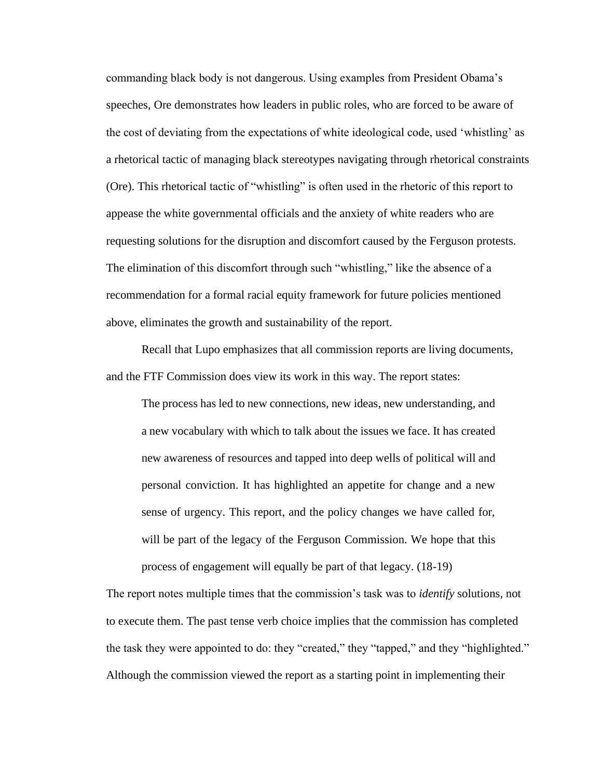commanding black body is not dangerous. Using examples from President Obama's speeches, Ore demonstrates how leaders in public roles, who are forced to be aware of the cost of deviating from the expectations of white ideological code, used 'whistling' as a rhetorical tactic of managing black stereotypes navigating through rhetorical constraints (Ore). This rhetorical tactic of "whistling" is often used in the rhetoric of this report to appease the white governmental officials and the anxiety of white readers who are requesting solutions for the disruption and discomfort caused by the Ferguson protests. The elimination of this discomfort through such "whistling," like the absence of a recommendation for a formal racial equity framework for future policies mentioned above, eliminates the growth and sustainability of the report.

Recall that Lupo emphasizes that all commission reports are living documents, and the FTF Commission does view its work in this way. The report states:

The process has led to new connections, new ideas, new understanding, and a new vocabulary with which to talk about the issues we face. It has created new awareness of resources and tapped into deep wells of political will and personal conviction. It has highlighted an appetite for change and a new sense of urgency. This report, and the policy changes we have called for, will be part of the legacy of the Ferguson Commission. We hope that this process of engagement will equally be part of that legacy. (18-19)

The report notes multiple times that the commission's task was to *identify* solutions, not to execute them. The past tense verb choice implies that the commission has completed the task they were appointed to do: they "created," they "tapped," and they "highlighted." Although the commission viewed the report as a starting point in implementing their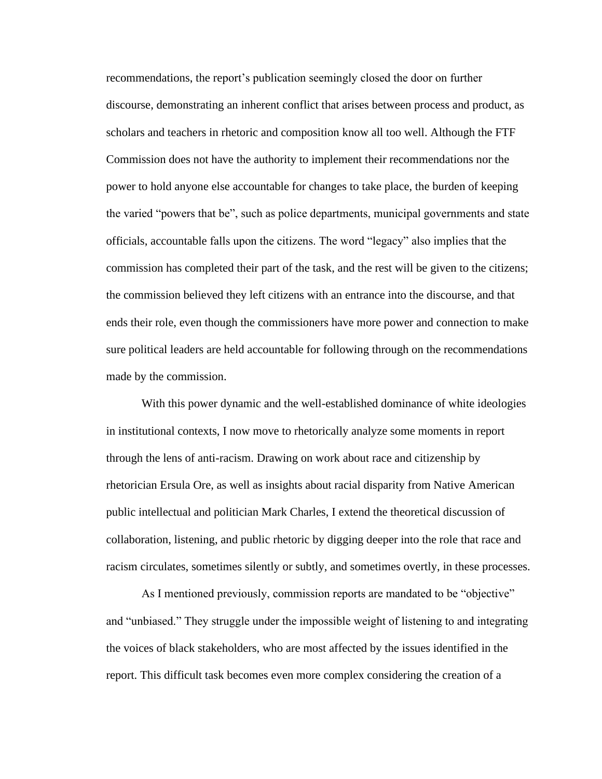recommendations, the report's publication seemingly closed the door on further discourse, demonstrating an inherent conflict that arises between process and product, as scholars and teachers in rhetoric and composition know all too well. Although the FTF Commission does not have the authority to implement their recommendations nor the power to hold anyone else accountable for changes to take place, the burden of keeping the varied "powers that be", such as police departments, municipal governments and state officials, accountable falls upon the citizens. The word "legacy" also implies that the commission has completed their part of the task, and the rest will be given to the citizens; the commission believed they left citizens with an entrance into the discourse, and that ends their role, even though the commissioners have more power and connection to make sure political leaders are held accountable for following through on the recommendations made by the commission.

With this power dynamic and the well-established dominance of white ideologies in institutional contexts, I now move to rhetorically analyze some moments in report through the lens of anti-racism. Drawing on work about race and citizenship by rhetorician Ersula Ore, as well as insights about racial disparity from Native American public intellectual and politician Mark Charles, I extend the theoretical discussion of collaboration, listening, and public rhetoric by digging deeper into the role that race and racism circulates, sometimes silently or subtly, and sometimes overtly, in these processes.

As I mentioned previously, commission reports are mandated to be "objective" and "unbiased." They struggle under the impossible weight of listening to and integrating the voices of black stakeholders, who are most affected by the issues identified in the report. This difficult task becomes even more complex considering the creation of a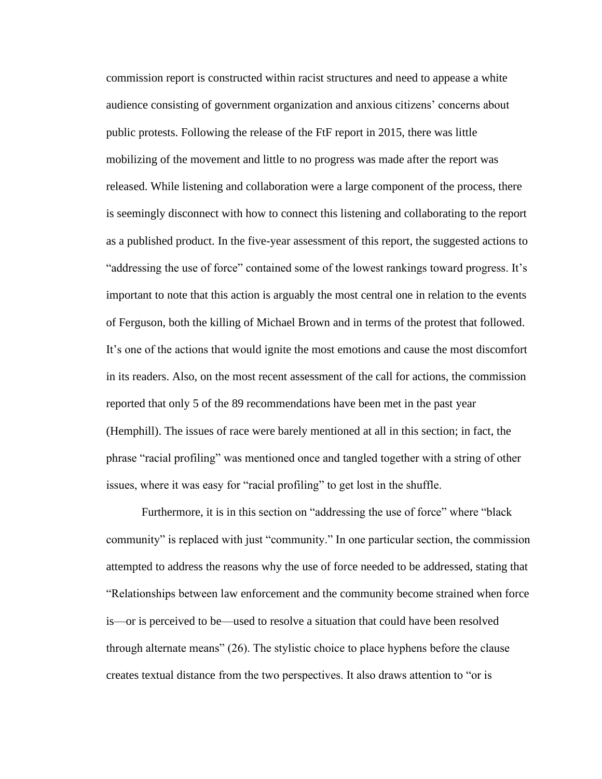commission report is constructed within racist structures and need to appease a white audience consisting of government organization and anxious citizens' concerns about public protests. Following the release of the FtF report in 2015, there was little mobilizing of the movement and little to no progress was made after the report was released. While listening and collaboration were a large component of the process, there is seemingly disconnect with how to connect this listening and collaborating to the report as a published product. In the five-year assessment of this report, the suggested actions to "addressing the use of force" contained some of the lowest rankings toward progress. It's important to note that this action is arguably the most central one in relation to the events of Ferguson, both the killing of Michael Brown and in terms of the protest that followed. It's one of the actions that would ignite the most emotions and cause the most discomfort in its readers. Also, on the most recent assessment of the call for actions, the commission reported that only 5 of the 89 recommendations have been met in the past year (Hemphill). The issues of race were barely mentioned at all in this section; in fact, the phrase "racial profiling" was mentioned once and tangled together with a string of other issues, where it was easy for "racial profiling" to get lost in the shuffle.

Furthermore, it is in this section on "addressing the use of force" where "black community" is replaced with just "community." In one particular section, the commission attempted to address the reasons why the use of force needed to be addressed, stating that "Relationships between law enforcement and the community become strained when force is––or is perceived to be––used to resolve a situation that could have been resolved through alternate means" (26). The stylistic choice to place hyphens before the clause creates textual distance from the two perspectives. It also draws attention to "or is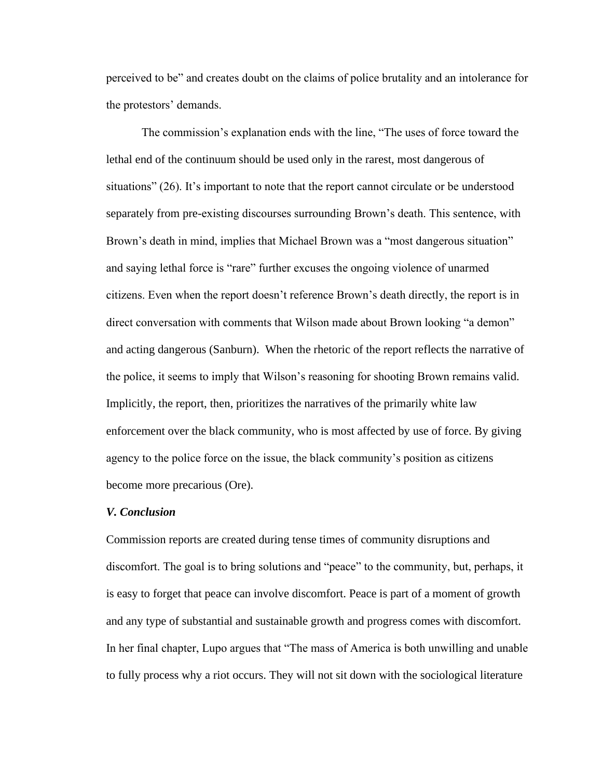perceived to be" and creates doubt on the claims of police brutality and an intolerance for the protestors' demands.

The commission's explanation ends with the line, "The uses of force toward the lethal end of the continuum should be used only in the rarest, most dangerous of situations" (26). It's important to note that the report cannot circulate or be understood separately from pre-existing discourses surrounding Brown's death. This sentence, with Brown's death in mind, implies that Michael Brown was a "most dangerous situation" and saying lethal force is "rare" further excuses the ongoing violence of unarmed citizens. Even when the report doesn't reference Brown's death directly, the report is in direct conversation with comments that Wilson made about Brown looking "a demon" and acting dangerous (Sanburn). When the rhetoric of the report reflects the narrative of the police, it seems to imply that Wilson's reasoning for shooting Brown remains valid. Implicitly, the report, then, prioritizes the narratives of the primarily white law enforcement over the black community, who is most affected by use of force. By giving agency to the police force on the issue, the black community's position as citizens become more precarious (Ore).

#### *V. Conclusion*

Commission reports are created during tense times of community disruptions and discomfort. The goal is to bring solutions and "peace" to the community, but, perhaps, it is easy to forget that peace can involve discomfort. Peace is part of a moment of growth and any type of substantial and sustainable growth and progress comes with discomfort. In her final chapter, Lupo argues that "The mass of America is both unwilling and unable to fully process why a riot occurs. They will not sit down with the sociological literature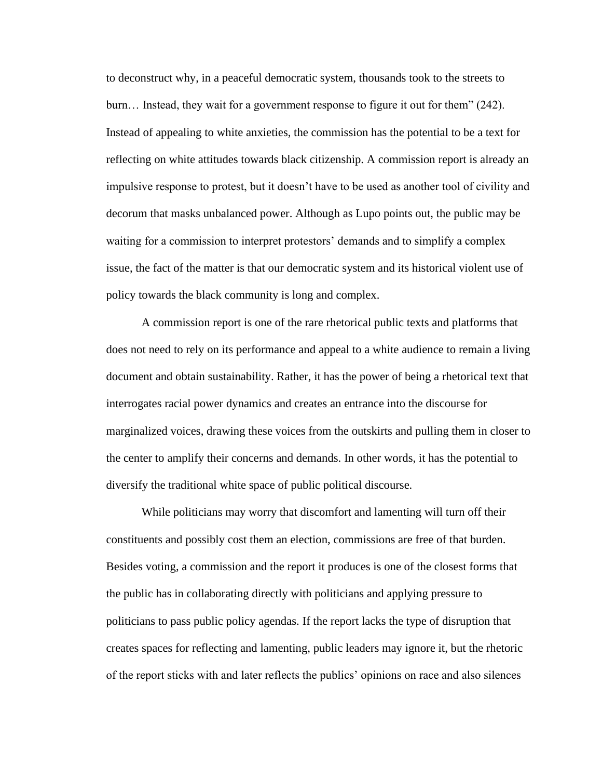to deconstruct why, in a peaceful democratic system, thousands took to the streets to burn… Instead, they wait for a government response to figure it out for them" (242). Instead of appealing to white anxieties, the commission has the potential to be a text for reflecting on white attitudes towards black citizenship. A commission report is already an impulsive response to protest, but it doesn't have to be used as another tool of civility and decorum that masks unbalanced power. Although as Lupo points out, the public may be waiting for a commission to interpret protestors' demands and to simplify a complex issue, the fact of the matter is that our democratic system and its historical violent use of policy towards the black community is long and complex.

A commission report is one of the rare rhetorical public texts and platforms that does not need to rely on its performance and appeal to a white audience to remain a living document and obtain sustainability. Rather, it has the power of being a rhetorical text that interrogates racial power dynamics and creates an entrance into the discourse for marginalized voices, drawing these voices from the outskirts and pulling them in closer to the center to amplify their concerns and demands. In other words, it has the potential to diversify the traditional white space of public political discourse.

While politicians may worry that discomfort and lamenting will turn off their constituents and possibly cost them an election, commissions are free of that burden. Besides voting, a commission and the report it produces is one of the closest forms that the public has in collaborating directly with politicians and applying pressure to politicians to pass public policy agendas. If the report lacks the type of disruption that creates spaces for reflecting and lamenting, public leaders may ignore it, but the rhetoric of the report sticks with and later reflects the publics' opinions on race and also silences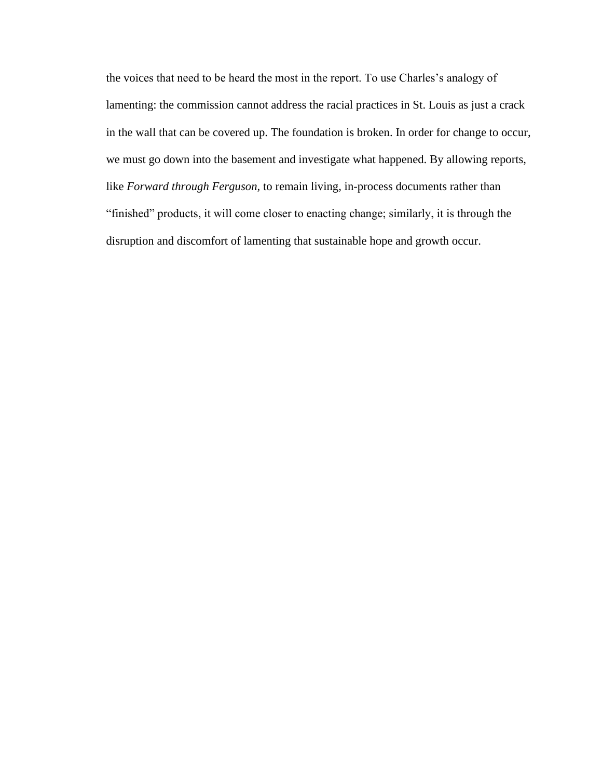the voices that need to be heard the most in the report. To use Charles's analogy of lamenting: the commission cannot address the racial practices in St. Louis as just a crack in the wall that can be covered up. The foundation is broken. In order for change to occur, we must go down into the basement and investigate what happened. By allowing reports, like *Forward through Ferguson,* to remain living, in-process documents rather than "finished" products, it will come closer to enacting change; similarly, it is through the disruption and discomfort of lamenting that sustainable hope and growth occur.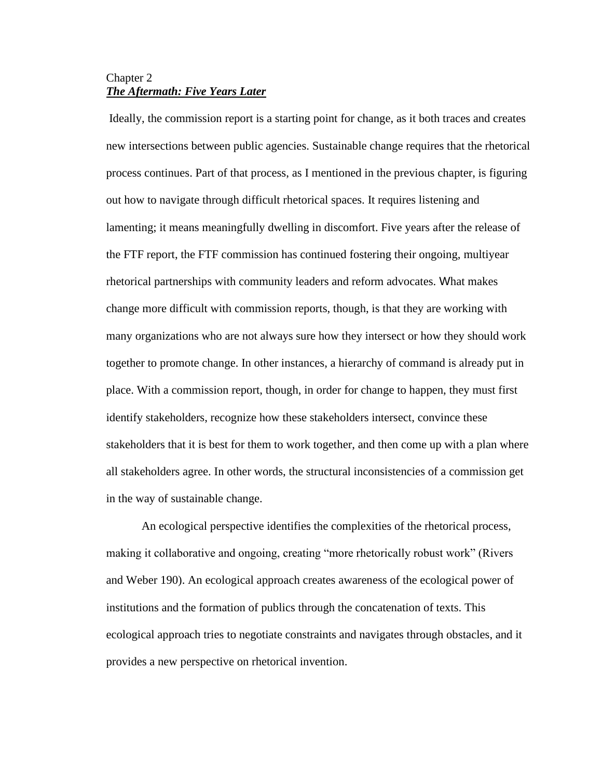### Chapter 2 *The Aftermath: Five Years Later*

Ideally, the commission report is a starting point for change, as it both traces and creates new intersections between public agencies. Sustainable change requires that the rhetorical process continues. Part of that process, as I mentioned in the previous chapter, is figuring out how to navigate through difficult rhetorical spaces. It requires listening and lamenting; it means meaningfully dwelling in discomfort. Five years after the release of the FTF report, the FTF commission has continued fostering their ongoing, multiyear rhetorical partnerships with community leaders and reform advocates. What makes change more difficult with commission reports, though, is that they are working with many organizations who are not always sure how they intersect or how they should work together to promote change. In other instances, a hierarchy of command is already put in place. With a commission report, though, in order for change to happen, they must first identify stakeholders, recognize how these stakeholders intersect, convince these stakeholders that it is best for them to work together, and then come up with a plan where all stakeholders agree. In other words, the structural inconsistencies of a commission get in the way of sustainable change.

An ecological perspective identifies the complexities of the rhetorical process, making it collaborative and ongoing, creating "more rhetorically robust work" (Rivers and Weber 190). An ecological approach creates awareness of the ecological power of institutions and the formation of publics through the concatenation of texts. This ecological approach tries to negotiate constraints and navigates through obstacles, and it provides a new perspective on rhetorical invention.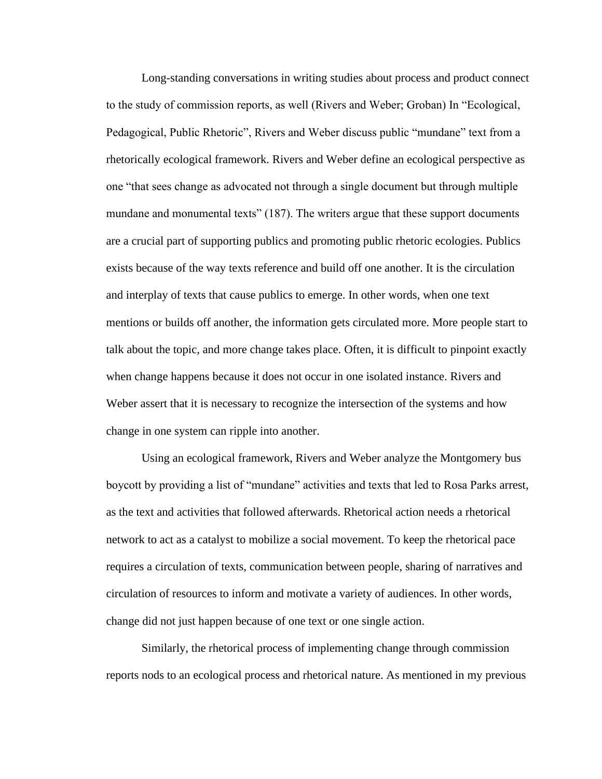Long-standing conversations in writing studies about process and product connect to the study of commission reports, as well (Rivers and Weber; Groban) In "Ecological, Pedagogical, Public Rhetoric", Rivers and Weber discuss public "mundane" text from a rhetorically ecological framework. Rivers and Weber define an ecological perspective as one "that sees change as advocated not through a single document but through multiple mundane and monumental texts" (187). The writers argue that these support documents are a crucial part of supporting publics and promoting public rhetoric ecologies. Publics exists because of the way texts reference and build off one another. It is the circulation and interplay of texts that cause publics to emerge. In other words, when one text mentions or builds off another, the information gets circulated more. More people start to talk about the topic, and more change takes place. Often, it is difficult to pinpoint exactly when change happens because it does not occur in one isolated instance. Rivers and Weber assert that it is necessary to recognize the intersection of the systems and how change in one system can ripple into another.

Using an ecological framework, Rivers and Weber analyze the Montgomery bus boycott by providing a list of "mundane" activities and texts that led to Rosa Parks arrest, as the text and activities that followed afterwards. Rhetorical action needs a rhetorical network to act as a catalyst to mobilize a social movement. To keep the rhetorical pace requires a circulation of texts, communication between people, sharing of narratives and circulation of resources to inform and motivate a variety of audiences. In other words, change did not just happen because of one text or one single action.

Similarly, the rhetorical process of implementing change through commission reports nods to an ecological process and rhetorical nature. As mentioned in my previous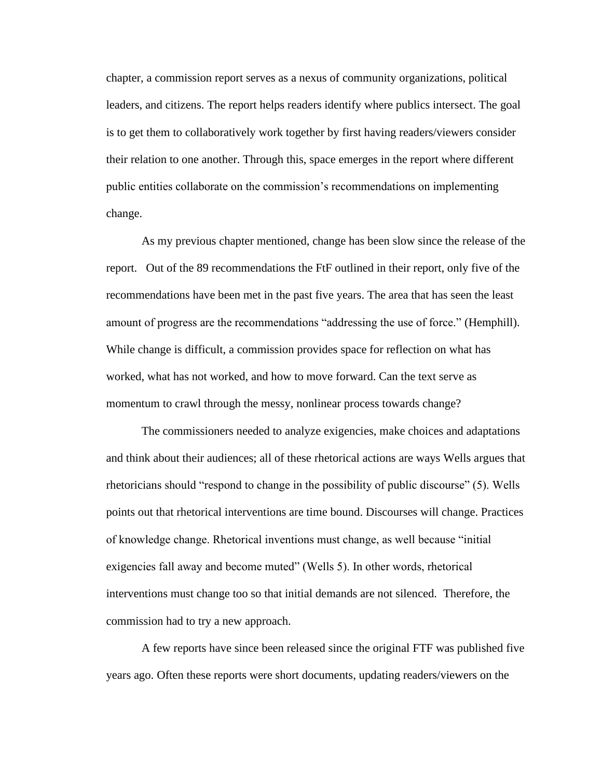chapter, a commission report serves as a nexus of community organizations, political leaders, and citizens. The report helps readers identify where publics intersect. The goal is to get them to collaboratively work together by first having readers/viewers consider their relation to one another. Through this, space emerges in the report where different public entities collaborate on the commission's recommendations on implementing change.

As my previous chapter mentioned, change has been slow since the release of the report. Out of the 89 recommendations the FtF outlined in their report, only five of the recommendations have been met in the past five years. The area that has seen the least amount of progress are the recommendations "addressing the use of force." (Hemphill). While change is difficult, a commission provides space for reflection on what has worked, what has not worked, and how to move forward. Can the text serve as momentum to crawl through the messy, nonlinear process towards change?

The commissioners needed to analyze exigencies, make choices and adaptations and think about their audiences; all of these rhetorical actions are ways Wells argues that rhetoricians should "respond to change in the possibility of public discourse" (5). Wells points out that rhetorical interventions are time bound. Discourses will change. Practices of knowledge change. Rhetorical inventions must change, as well because "initial exigencies fall away and become muted" (Wells 5). In other words, rhetorical interventions must change too so that initial demands are not silenced. Therefore, the commission had to try a new approach.

A few reports have since been released since the original FTF was published five years ago. Often these reports were short documents, updating readers/viewers on the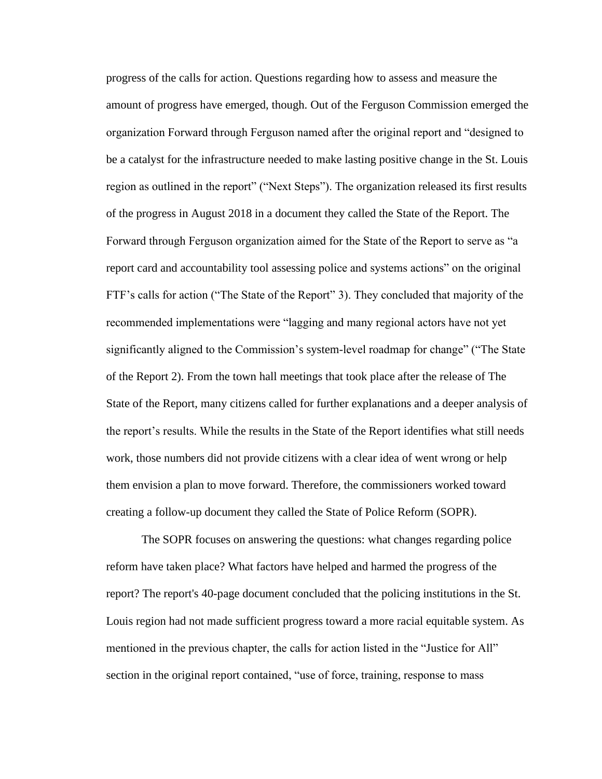progress of the calls for action. Questions regarding how to assess and measure the amount of progress have emerged, though. Out of the Ferguson Commission emerged the organization Forward through Ferguson named after the original report and "designed to be a catalyst for the infrastructure needed to make lasting positive change in the St. Louis region as outlined in the report" ("Next Steps"). The organization released its first results of the progress in August 2018 in a document they called the State of the Report. The Forward through Ferguson organization aimed for the State of the Report to serve as "a report card and accountability tool assessing police and systems actions" on the original FTF's calls for action ("The State of the Report" 3). They concluded that majority of the recommended implementations were "lagging and many regional actors have not yet significantly aligned to the Commission's system-level roadmap for change" ("The State of the Report 2). From the town hall meetings that took place after the release of The State of the Report, many citizens called for further explanations and a deeper analysis of the report's results. While the results in the State of the Report identifies what still needs work, those numbers did not provide citizens with a clear idea of went wrong or help them envision a plan to move forward. Therefore, the commissioners worked toward creating a follow-up document they called the State of Police Reform (SOPR).

The SOPR focuses on answering the questions: what changes regarding police reform have taken place? What factors have helped and harmed the progress of the report? The report's 40-page document concluded that the policing institutions in the St. Louis region had not made sufficient progress toward a more racial equitable system. As mentioned in the previous chapter, the calls for action listed in the "Justice for All" section in the original report contained, "use of force, training, response to mass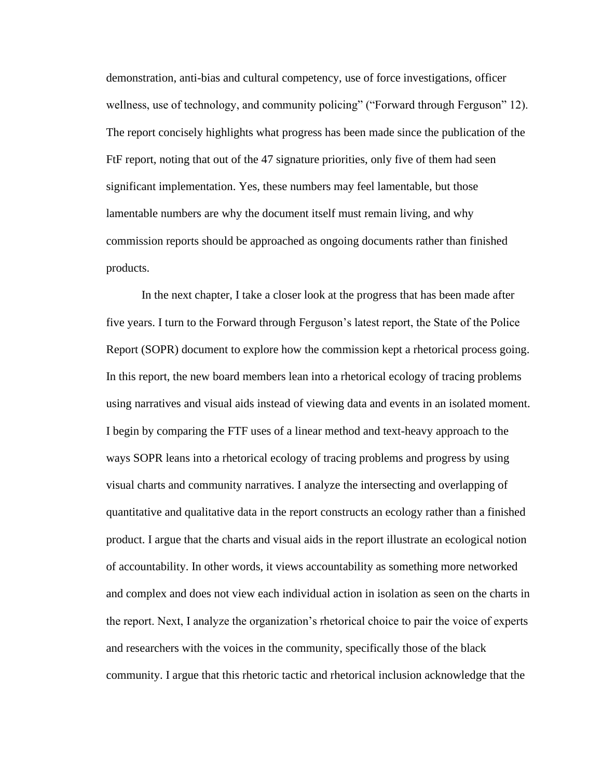demonstration, anti-bias and cultural competency, use of force investigations, officer wellness, use of technology, and community policing" ("Forward through Ferguson" 12). The report concisely highlights what progress has been made since the publication of the FtF report, noting that out of the 47 signature priorities, only five of them had seen significant implementation. Yes, these numbers may feel lamentable, but those lamentable numbers are why the document itself must remain living, and why commission reports should be approached as ongoing documents rather than finished products.

In the next chapter, I take a closer look at the progress that has been made after five years. I turn to the Forward through Ferguson's latest report, the State of the Police Report (SOPR) document to explore how the commission kept a rhetorical process going. In this report, the new board members lean into a rhetorical ecology of tracing problems using narratives and visual aids instead of viewing data and events in an isolated moment. I begin by comparing the FTF uses of a linear method and text-heavy approach to the ways SOPR leans into a rhetorical ecology of tracing problems and progress by using visual charts and community narratives. I analyze the intersecting and overlapping of quantitative and qualitative data in the report constructs an ecology rather than a finished product. I argue that the charts and visual aids in the report illustrate an ecological notion of accountability. In other words, it views accountability as something more networked and complex and does not view each individual action in isolation as seen on the charts in the report. Next, I analyze the organization's rhetorical choice to pair the voice of experts and researchers with the voices in the community, specifically those of the black community. I argue that this rhetoric tactic and rhetorical inclusion acknowledge that the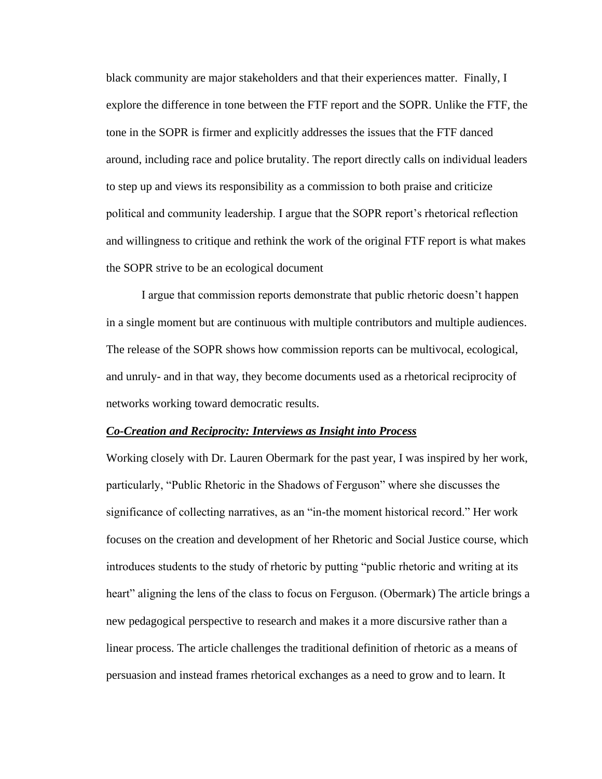black community are major stakeholders and that their experiences matter. Finally, I explore the difference in tone between the FTF report and the SOPR. Unlike the FTF, the tone in the SOPR is firmer and explicitly addresses the issues that the FTF danced around, including race and police brutality. The report directly calls on individual leaders to step up and views its responsibility as a commission to both praise and criticize political and community leadership. I argue that the SOPR report's rhetorical reflection and willingness to critique and rethink the work of the original FTF report is what makes the SOPR strive to be an ecological document

I argue that commission reports demonstrate that public rhetoric doesn't happen in a single moment but are continuous with multiple contributors and multiple audiences. The release of the SOPR shows how commission reports can be multivocal, ecological, and unruly- and in that way, they become documents used as a rhetorical reciprocity of networks working toward democratic results.

#### *Co-Creation and Reciprocity: Interviews as Insight into Process*

Working closely with Dr. Lauren Obermark for the past year, I was inspired by her work, particularly, "Public Rhetoric in the Shadows of Ferguson" where she discusses the significance of collecting narratives, as an "in-the moment historical record." Her work focuses on the creation and development of her Rhetoric and Social Justice course, which introduces students to the study of rhetoric by putting "public rhetoric and writing at its heart" aligning the lens of the class to focus on Ferguson. (Obermark) The article brings a new pedagogical perspective to research and makes it a more discursive rather than a linear process. The article challenges the traditional definition of rhetoric as a means of persuasion and instead frames rhetorical exchanges as a need to grow and to learn. It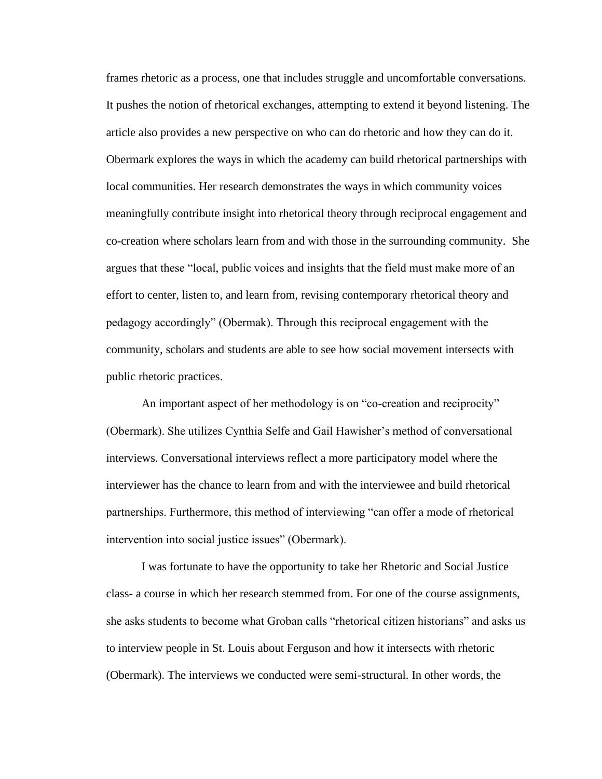frames rhetoric as a process, one that includes struggle and uncomfortable conversations. It pushes the notion of rhetorical exchanges, attempting to extend it beyond listening. The article also provides a new perspective on who can do rhetoric and how they can do it. Obermark explores the ways in which the academy can build rhetorical partnerships with local communities. Her research demonstrates the ways in which community voices meaningfully contribute insight into rhetorical theory through reciprocal engagement and co-creation where scholars learn from and with those in the surrounding community. She argues that these "local, public voices and insights that the field must make more of an effort to center, listen to, and learn from, revising contemporary rhetorical theory and pedagogy accordingly" (Obermak). Through this reciprocal engagement with the community, scholars and students are able to see how social movement intersects with public rhetoric practices.

An important aspect of her methodology is on "co-creation and reciprocity" (Obermark). She utilizes Cynthia Selfe and Gail Hawisher's method of conversational interviews. Conversational interviews reflect a more participatory model where the interviewer has the chance to learn from and with the interviewee and build rhetorical partnerships. Furthermore, this method of interviewing "can offer a mode of rhetorical intervention into social justice issues" (Obermark).

I was fortunate to have the opportunity to take her Rhetoric and Social Justice class- a course in which her research stemmed from. For one of the course assignments, she asks students to become what Groban calls "rhetorical citizen historians" and asks us to interview people in St. Louis about Ferguson and how it intersects with rhetoric (Obermark). The interviews we conducted were semi-structural. In other words, the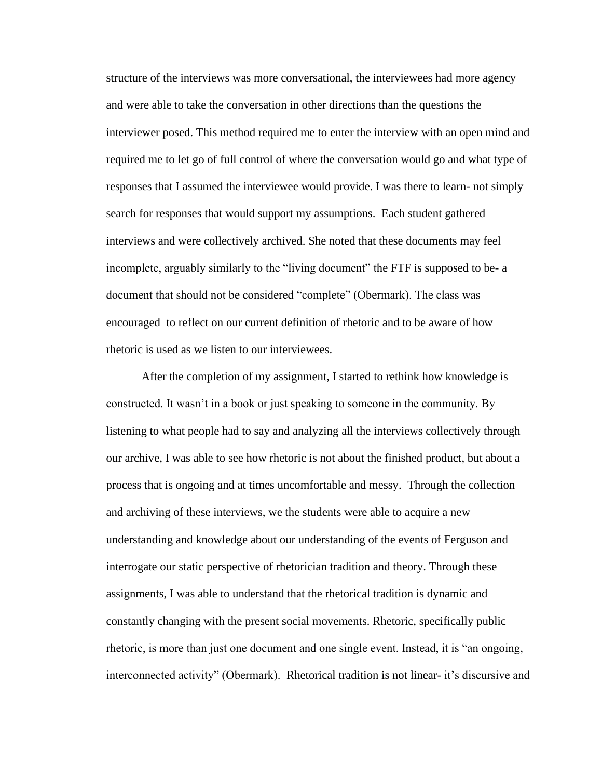structure of the interviews was more conversational, the interviewees had more agency and were able to take the conversation in other directions than the questions the interviewer posed. This method required me to enter the interview with an open mind and required me to let go of full control of where the conversation would go and what type of responses that I assumed the interviewee would provide. I was there to learn- not simply search for responses that would support my assumptions. Each student gathered interviews and were collectively archived. She noted that these documents may feel incomplete, arguably similarly to the "living document" the FTF is supposed to be- a document that should not be considered "complete" (Obermark). The class was encouraged to reflect on our current definition of rhetoric and to be aware of how rhetoric is used as we listen to our interviewees.

After the completion of my assignment, I started to rethink how knowledge is constructed. It wasn't in a book or just speaking to someone in the community. By listening to what people had to say and analyzing all the interviews collectively through our archive, I was able to see how rhetoric is not about the finished product, but about a process that is ongoing and at times uncomfortable and messy. Through the collection and archiving of these interviews, we the students were able to acquire a new understanding and knowledge about our understanding of the events of Ferguson and interrogate our static perspective of rhetorician tradition and theory. Through these assignments, I was able to understand that the rhetorical tradition is dynamic and constantly changing with the present social movements. Rhetoric, specifically public rhetoric, is more than just one document and one single event. Instead, it is "an ongoing, interconnected activity" (Obermark). Rhetorical tradition is not linear- it's discursive and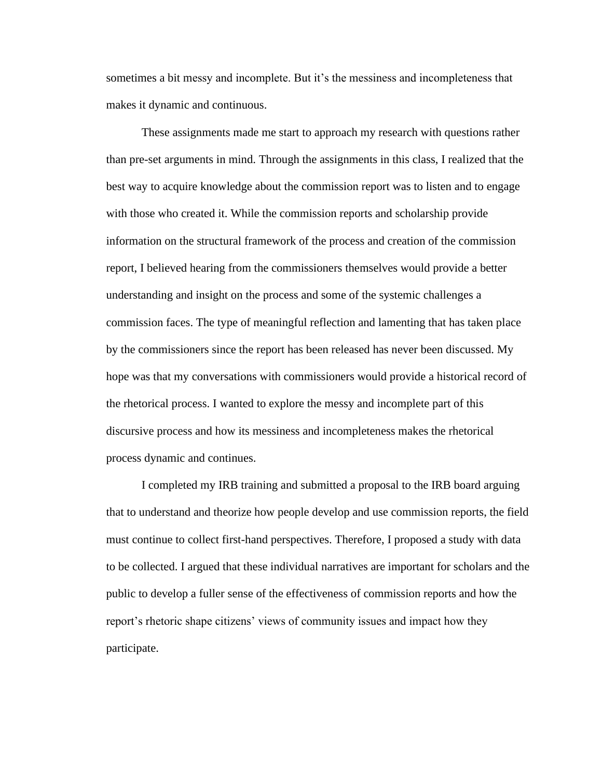sometimes a bit messy and incomplete. But it's the messiness and incompleteness that makes it dynamic and continuous.

These assignments made me start to approach my research with questions rather than pre-set arguments in mind. Through the assignments in this class, I realized that the best way to acquire knowledge about the commission report was to listen and to engage with those who created it. While the commission reports and scholarship provide information on the structural framework of the process and creation of the commission report, I believed hearing from the commissioners themselves would provide a better understanding and insight on the process and some of the systemic challenges a commission faces. The type of meaningful reflection and lamenting that has taken place by the commissioners since the report has been released has never been discussed. My hope was that my conversations with commissioners would provide a historical record of the rhetorical process. I wanted to explore the messy and incomplete part of this discursive process and how its messiness and incompleteness makes the rhetorical process dynamic and continues.

 I completed my IRB training and submitted a proposal to the IRB board arguing that to understand and theorize how people develop and use commission reports, the field must continue to collect first-hand perspectives. Therefore, I proposed a study with data to be collected. I argued that these individual narratives are important for scholars and the public to develop a fuller sense of the effectiveness of commission reports and how the report's rhetoric shape citizens' views of community issues and impact how they participate.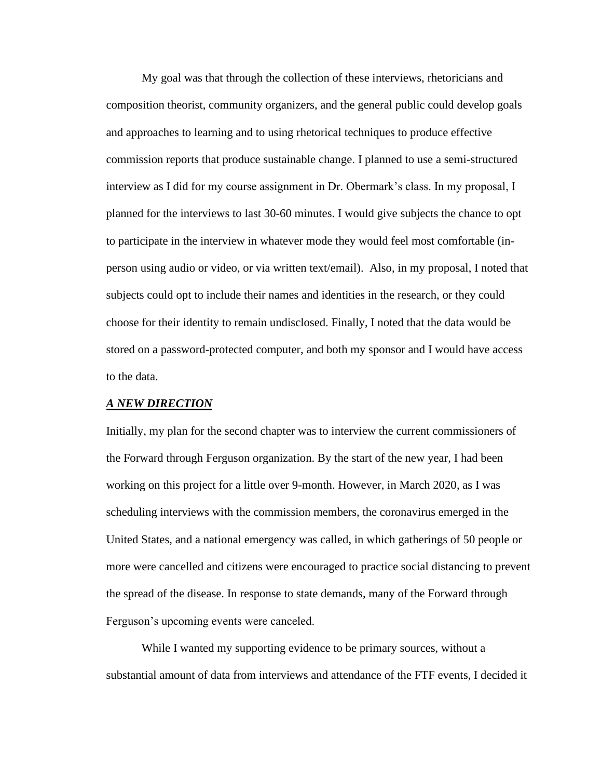My goal was that through the collection of these interviews, rhetoricians and composition theorist, community organizers, and the general public could develop goals and approaches to learning and to using rhetorical techniques to produce effective commission reports that produce sustainable change. I planned to use a semi-structured interview as I did for my course assignment in Dr. Obermark's class. In my proposal, I planned for the interviews to last 30-60 minutes. I would give subjects the chance to opt to participate in the interview in whatever mode they would feel most comfortable (inperson using audio or video, or via written text/email). Also, in my proposal, I noted that subjects could opt to include their names and identities in the research, or they could choose for their identity to remain undisclosed. Finally, I noted that the data would be stored on a password-protected computer, and both my sponsor and I would have access to the data.

#### *A NEW DIRECTION*

Initially, my plan for the second chapter was to interview the current commissioners of the Forward through Ferguson organization. By the start of the new year, I had been working on this project for a little over 9-month. However, in March 2020, as I was scheduling interviews with the commission members, the coronavirus emerged in the United States, and a national emergency was called, in which gatherings of 50 people or more were cancelled and citizens were encouraged to practice social distancing to prevent the spread of the disease. In response to state demands, many of the Forward through Ferguson's upcoming events were canceled.

While I wanted my supporting evidence to be primary sources, without a substantial amount of data from interviews and attendance of the FTF events, I decided it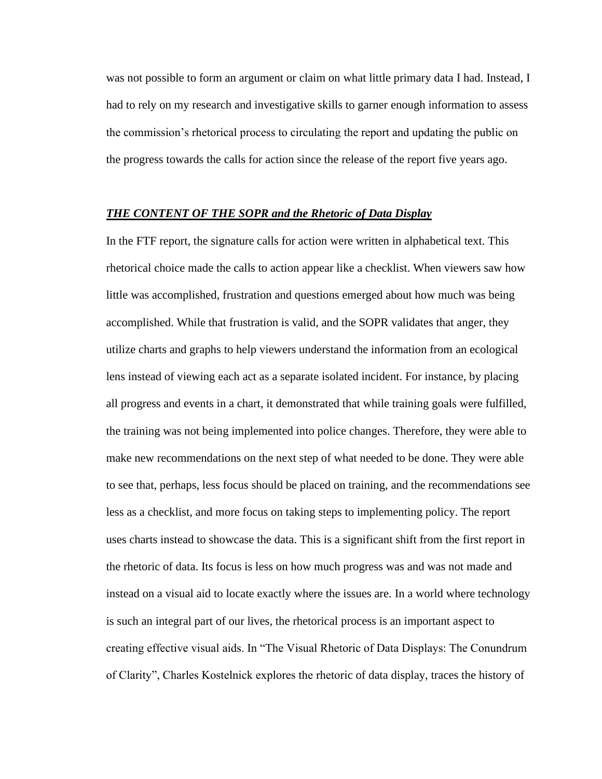was not possible to form an argument or claim on what little primary data I had. Instead, I had to rely on my research and investigative skills to garner enough information to assess the commission's rhetorical process to circulating the report and updating the public on the progress towards the calls for action since the release of the report five years ago.

#### *THE CONTENT OF THE SOPR and the Rhetoric of Data Display*

In the FTF report, the signature calls for action were written in alphabetical text. This rhetorical choice made the calls to action appear like a checklist. When viewers saw how little was accomplished, frustration and questions emerged about how much was being accomplished. While that frustration is valid, and the SOPR validates that anger, they utilize charts and graphs to help viewers understand the information from an ecological lens instead of viewing each act as a separate isolated incident. For instance, by placing all progress and events in a chart, it demonstrated that while training goals were fulfilled, the training was not being implemented into police changes. Therefore, they were able to make new recommendations on the next step of what needed to be done. They were able to see that, perhaps, less focus should be placed on training, and the recommendations see less as a checklist, and more focus on taking steps to implementing policy. The report uses charts instead to showcase the data. This is a significant shift from the first report in the rhetoric of data. Its focus is less on how much progress was and was not made and instead on a visual aid to locate exactly where the issues are. In a world where technology is such an integral part of our lives, the rhetorical process is an important aspect to creating effective visual aids. In "The Visual Rhetoric of Data Displays: The Conundrum of Clarity", Charles Kostelnick explores the rhetoric of data display, traces the history of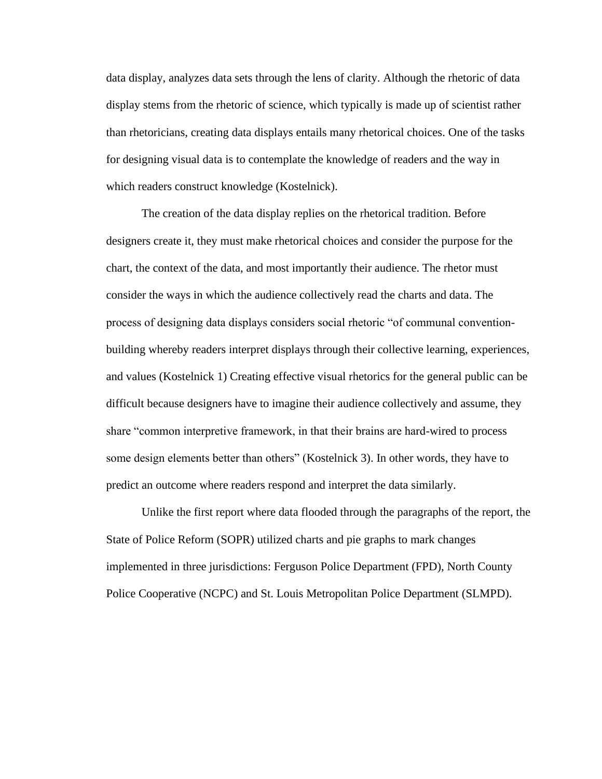data display, analyzes data sets through the lens of clarity. Although the rhetoric of data display stems from the rhetoric of science, which typically is made up of scientist rather than rhetoricians, creating data displays entails many rhetorical choices. One of the tasks for designing visual data is to contemplate the knowledge of readers and the way in which readers construct knowledge (Kostelnick).

The creation of the data display replies on the rhetorical tradition. Before designers create it, they must make rhetorical choices and consider the purpose for the chart, the context of the data, and most importantly their audience. The rhetor must consider the ways in which the audience collectively read the charts and data. The process of designing data displays considers social rhetoric "of communal conventionbuilding whereby readers interpret displays through their collective learning, experiences, and values (Kostelnick 1) Creating effective visual rhetorics for the general public can be difficult because designers have to imagine their audience collectively and assume, they share "common interpretive framework, in that their brains are hard-wired to process some design elements better than others" (Kostelnick 3). In other words, they have to predict an outcome where readers respond and interpret the data similarly.

Unlike the first report where data flooded through the paragraphs of the report, the State of Police Reform (SOPR) utilized charts and pie graphs to mark changes implemented in three jurisdictions: Ferguson Police Department (FPD), North County Police Cooperative (NCPC) and St. Louis Metropolitan Police Department (SLMPD).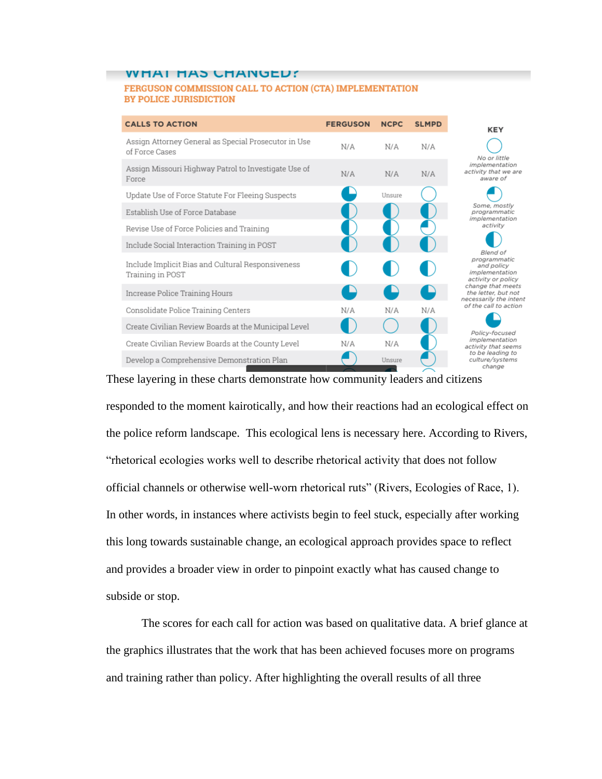#### WHAI HAS CHANGED?

#### FERGUSON COMMISSION CALL TO ACTION (CTA) IMPLEMENTATION **BY POLICE JURISDICTION**

| <b>CALLS TO ACTION</b>                                                 | <b>FERGUSON</b> | <b>NCPC</b>   | <b>SLMPD</b> | <b>KEY</b>                                                                                                                                                                                                                                                                                                                                              |
|------------------------------------------------------------------------|-----------------|---------------|--------------|---------------------------------------------------------------------------------------------------------------------------------------------------------------------------------------------------------------------------------------------------------------------------------------------------------------------------------------------------------|
| Assign Attorney General as Special Prosecutor in Use<br>of Force Cases | N/A             | N/A           | N/A          | No or little<br>implementation<br>activity that we are<br>aware of                                                                                                                                                                                                                                                                                      |
| Assign Missouri Highway Patrol to Investigate Use of<br>Force          | N/A             | N/A           | N/A          |                                                                                                                                                                                                                                                                                                                                                         |
| Update Use of Force Statute For Fleeing Suspects                       |                 | Unsure        |              |                                                                                                                                                                                                                                                                                                                                                         |
| Establish Use of Force Database                                        |                 |               |              | Some, mostly<br>programmatic<br>implementation<br>activity<br>Blend of<br>programmatic<br>and policy<br>implementation<br>activity or policy<br>change that meets<br>the letter, but not<br>necessarily the intent<br>of the call to action<br>Policy-focused<br>implementation<br>activity that seems<br>to be leading to<br>culture/systems<br>change |
| Revise Use of Force Policies and Training                              |                 |               |              |                                                                                                                                                                                                                                                                                                                                                         |
| Include Social Interaction Training in POST                            |                 |               |              |                                                                                                                                                                                                                                                                                                                                                         |
| Include Implicit Bias and Cultural Responsiveness<br>Training in POST  |                 |               |              |                                                                                                                                                                                                                                                                                                                                                         |
| Increase Police Training Hours                                         |                 |               |              |                                                                                                                                                                                                                                                                                                                                                         |
| Consolidate Police Training Centers                                    | N/A             | N/A           | N/A          |                                                                                                                                                                                                                                                                                                                                                         |
| Create Civilian Review Boards at the Municipal Level                   |                 |               |              |                                                                                                                                                                                                                                                                                                                                                         |
| Create Civilian Review Boards at the County Level                      | N/A             | N/A           |              |                                                                                                                                                                                                                                                                                                                                                         |
| Develop a Comprehensive Demonstration Plan                             |                 | Unsure<br>- 5 |              |                                                                                                                                                                                                                                                                                                                                                         |

### These layering in these charts demonstrate how community leaders and citizens

responded to the moment kairotically, and how their reactions had an ecological effect on the police reform landscape. This ecological lens is necessary here. According to Rivers, "rhetorical ecologies works well to describe rhetorical activity that does not follow official channels or otherwise well-worn rhetorical ruts" (Rivers, Ecologies of Race, 1). In other words, in instances where activists begin to feel stuck, especially after working this long towards sustainable change, an ecological approach provides space to reflect and provides a broader view in order to pinpoint exactly what has caused change to subside or stop.

The scores for each call for action was based on qualitative data. A brief glance at the graphics illustrates that the work that has been achieved focuses more on programs and training rather than policy. After highlighting the overall results of all three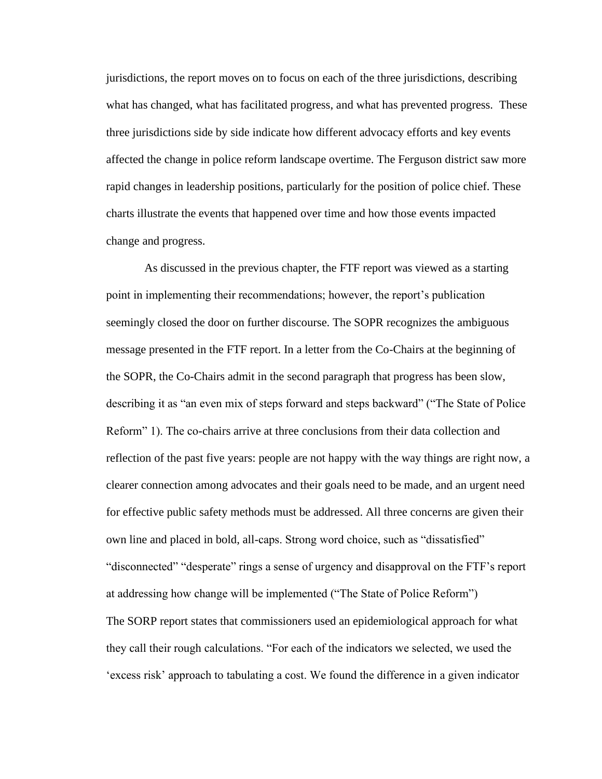jurisdictions, the report moves on to focus on each of the three jurisdictions, describing what has changed, what has facilitated progress, and what has prevented progress. These three jurisdictions side by side indicate how different advocacy efforts and key events affected the change in police reform landscape overtime. The Ferguson district saw more rapid changes in leadership positions, particularly for the position of police chief. These charts illustrate the events that happened over time and how those events impacted change and progress.

As discussed in the previous chapter, the FTF report was viewed as a starting point in implementing their recommendations; however, the report's publication seemingly closed the door on further discourse. The SOPR recognizes the ambiguous message presented in the FTF report. In a letter from the Co-Chairs at the beginning of the SOPR, the Co-Chairs admit in the second paragraph that progress has been slow, describing it as "an even mix of steps forward and steps backward" ("The State of Police Reform" 1). The co-chairs arrive at three conclusions from their data collection and reflection of the past five years: people are not happy with the way things are right now, a clearer connection among advocates and their goals need to be made, and an urgent need for effective public safety methods must be addressed. All three concerns are given their own line and placed in bold, all-caps. Strong word choice, such as "dissatisfied" "disconnected" "desperate" rings a sense of urgency and disapproval on the FTF's report at addressing how change will be implemented ("The State of Police Reform") The SORP report states that commissioners used an epidemiological approach for what they call their rough calculations. "For each of the indicators we selected, we used the 'excess risk' approach to tabulating a cost. We found the difference in a given indicator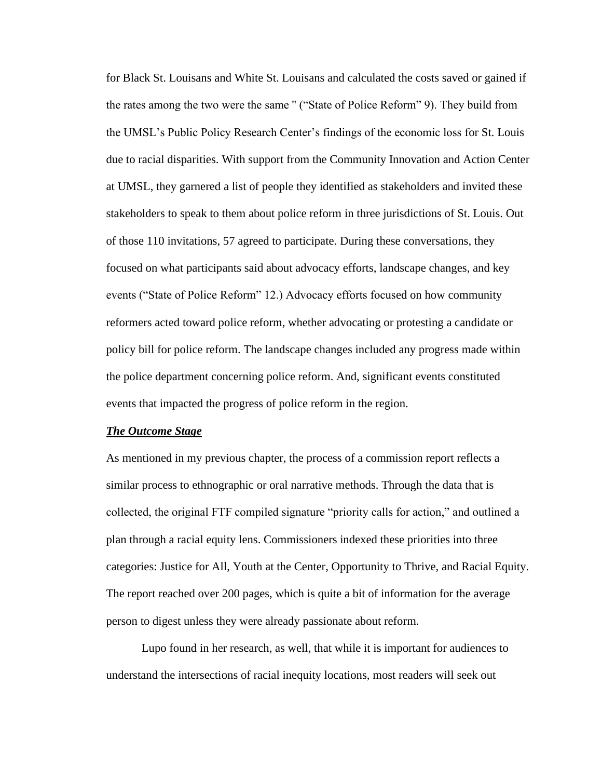for Black St. Louisans and White St. Louisans and calculated the costs saved or gained if the rates among the two were the same '' ("State of Police Reform" 9). They build from the UMSL's Public Policy Research Center's findings of the economic loss for St. Louis due to racial disparities. With support from the Community Innovation and Action Center at UMSL, they garnered a list of people they identified as stakeholders and invited these stakeholders to speak to them about police reform in three jurisdictions of St. Louis. Out of those 110 invitations, 57 agreed to participate. During these conversations, they focused on what participants said about advocacy efforts, landscape changes, and key events ("State of Police Reform" 12.) Advocacy efforts focused on how community reformers acted toward police reform, whether advocating or protesting a candidate or policy bill for police reform. The landscape changes included any progress made within the police department concerning police reform. And, significant events constituted events that impacted the progress of police reform in the region.

#### *The Outcome Stage*

As mentioned in my previous chapter, the process of a commission report reflects a similar process to ethnographic or oral narrative methods. Through the data that is collected, the original FTF compiled signature "priority calls for action," and outlined a plan through a racial equity lens. Commissioners indexed these priorities into three categories: Justice for All, Youth at the Center, Opportunity to Thrive, and Racial Equity. The report reached over 200 pages, which is quite a bit of information for the average person to digest unless they were already passionate about reform.

Lupo found in her research, as well, that while it is important for audiences to understand the intersections of racial inequity locations, most readers will seek out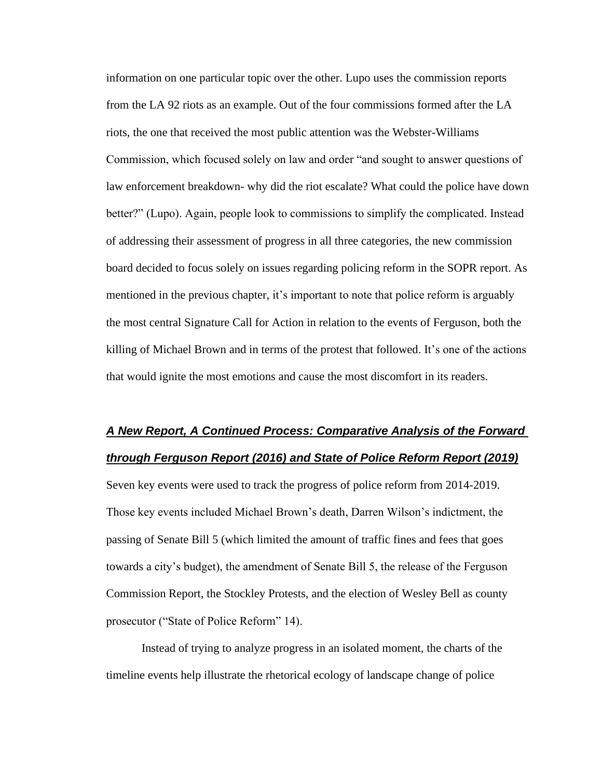information on one particular topic over the other. Lupo uses the commission reports from the LA 92 riots as an example. Out of the four commissions formed after the LA riots, the one that received the most public attention was the Webster-Williams Commission, which focused solely on law and order "and sought to answer questions of law enforcement breakdown- why did the riot escalate? What could the police have down better?" (Lupo). Again, people look to commissions to simplify the complicated. Instead of addressing their assessment of progress in all three categories, the new commission board decided to focus solely on issues regarding policing reform in the SOPR report. As mentioned in the previous chapter, it's important to note that police reform is arguably the most central Signature Call for Action in relation to the events of Ferguson, both the killing of Michael Brown and in terms of the protest that followed. It's one of the actions that would ignite the most emotions and cause the most discomfort in its readers.

## *A New Report, A Continued Process: Comparative Analysis of the Forward through Ferguson Report (2016) and State of Police Reform Report (2019)*

Seven key events were used to track the progress of police reform from 2014-2019. Those key events included Michael Brown's death, Darren Wilson's indictment, the passing of Senate Bill 5 (which limited the amount of traffic fines and fees that goes towards a city's budget), the amendment of Senate Bill 5, the release of the Ferguson Commission Report, the Stockley Protests, and the election of Wesley Bell as county prosecutor ("State of Police Reform" 14).

Instead of trying to analyze progress in an isolated moment, the charts of the timeline events help illustrate the rhetorical ecology of landscape change of police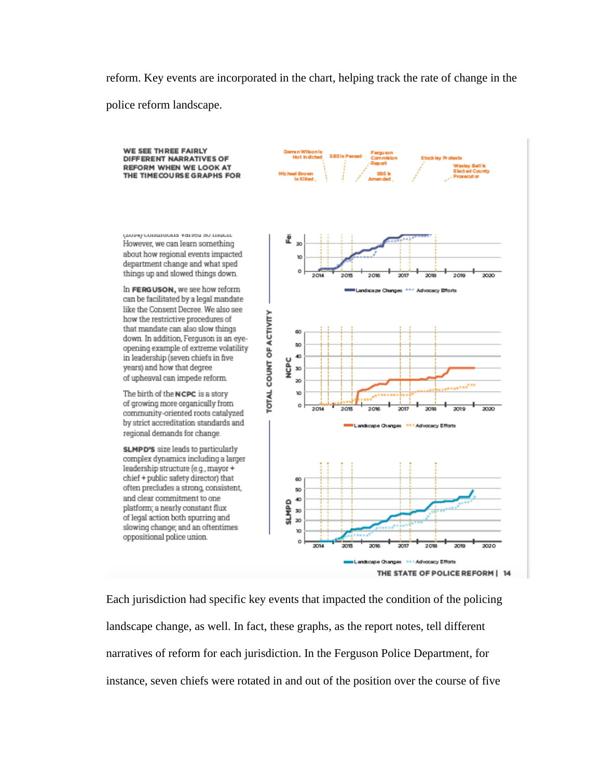reform. Key events are incorporated in the chart, helping track the rate of change in the police reform landscape.



THE STATE OF POLICE REFORM | 14

Each jurisdiction had specific key events that impacted the condition of the policing landscape change, as well. In fact, these graphs, as the report notes, tell different narratives of reform for each jurisdiction. In the Ferguson Police Department, for instance, seven chiefs were rotated in and out of the position over the course of five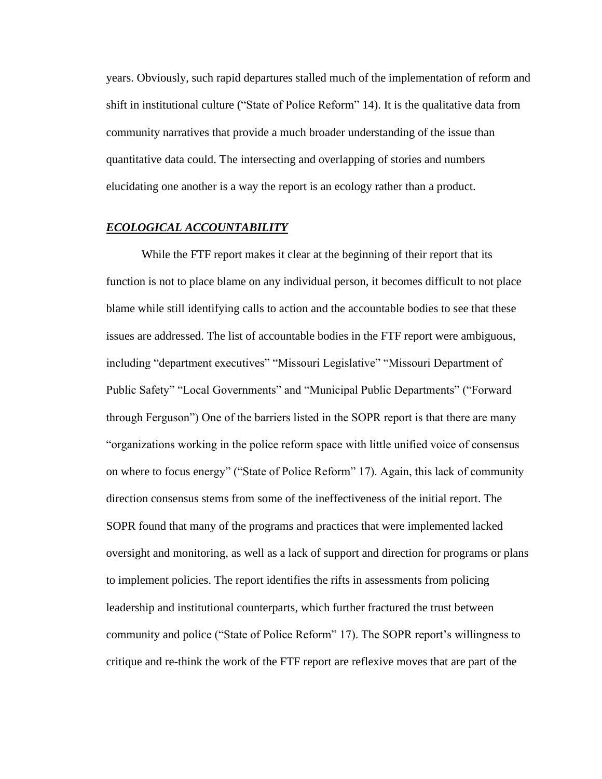years. Obviously, such rapid departures stalled much of the implementation of reform and shift in institutional culture ("State of Police Reform" 14). It is the qualitative data from community narratives that provide a much broader understanding of the issue than quantitative data could. The intersecting and overlapping of stories and numbers elucidating one another is a way the report is an ecology rather than a product.

### *ECOLOGICAL ACCOUNTABILITY*

 While the FTF report makes it clear at the beginning of their report that its function is not to place blame on any individual person, it becomes difficult to not place blame while still identifying calls to action and the accountable bodies to see that these issues are addressed. The list of accountable bodies in the FTF report were ambiguous, including "department executives" "Missouri Legislative" "Missouri Department of Public Safety" "Local Governments" and "Municipal Public Departments" ("Forward through Ferguson") One of the barriers listed in the SOPR report is that there are many "organizations working in the police reform space with little unified voice of consensus on where to focus energy" ("State of Police Reform" 17). Again, this lack of community direction consensus stems from some of the ineffectiveness of the initial report. The SOPR found that many of the programs and practices that were implemented lacked oversight and monitoring, as well as a lack of support and direction for programs or plans to implement policies. The report identifies the rifts in assessments from policing leadership and institutional counterparts, which further fractured the trust between community and police ("State of Police Reform" 17). The SOPR report's willingness to critique and re-think the work of the FTF report are reflexive moves that are part of the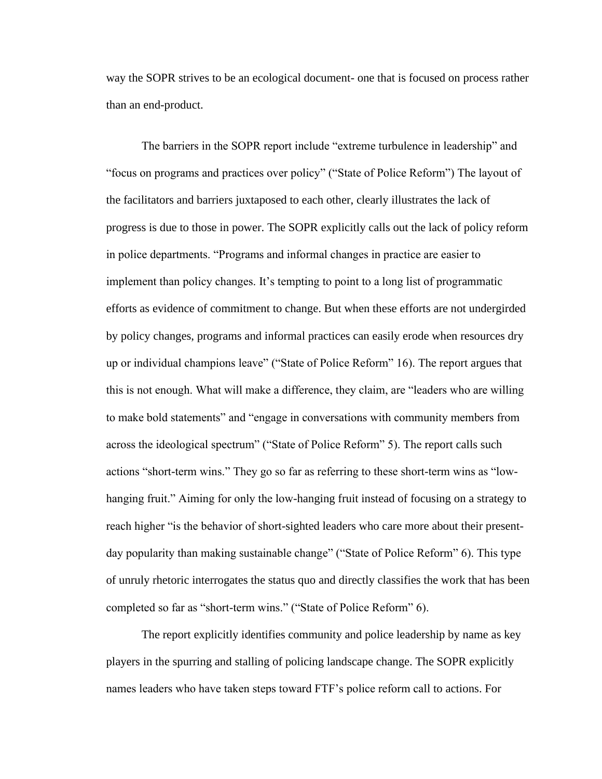way the SOPR strives to be an ecological document- one that is focused on process rather than an end-product.

The barriers in the SOPR report include "extreme turbulence in leadership" and "focus on programs and practices over policy" ("State of Police Reform") The layout of the facilitators and barriers juxtaposed to each other, clearly illustrates the lack of progress is due to those in power. The SOPR explicitly calls out the lack of policy reform in police departments. "Programs and informal changes in practice are easier to implement than policy changes. It's tempting to point to a long list of programmatic efforts as evidence of commitment to change. But when these efforts are not undergirded by policy changes, programs and informal practices can easily erode when resources dry up or individual champions leave" ("State of Police Reform" 16). The report argues that this is not enough. What will make a difference, they claim, are "leaders who are willing to make bold statements" and "engage in conversations with community members from across the ideological spectrum" ("State of Police Reform" 5). The report calls such actions "short-term wins." They go so far as referring to these short-term wins as "lowhanging fruit." Aiming for only the low-hanging fruit instead of focusing on a strategy to reach higher "is the behavior of short-sighted leaders who care more about their presentday popularity than making sustainable change" ("State of Police Reform" 6). This type of unruly rhetoric interrogates the status quo and directly classifies the work that has been completed so far as "short-term wins." ("State of Police Reform" 6).

The report explicitly identifies community and police leadership by name as key players in the spurring and stalling of policing landscape change. The SOPR explicitly names leaders who have taken steps toward FTF's police reform call to actions. For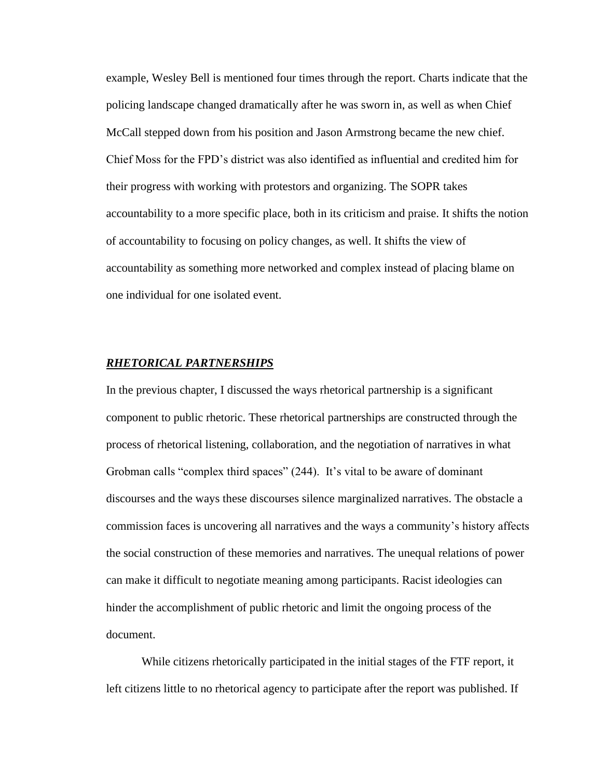example, Wesley Bell is mentioned four times through the report. Charts indicate that the policing landscape changed dramatically after he was sworn in, as well as when Chief McCall stepped down from his position and Jason Armstrong became the new chief. Chief Moss for the FPD's district was also identified as influential and credited him for their progress with working with protestors and organizing. The SOPR takes accountability to a more specific place, both in its criticism and praise. It shifts the notion of accountability to focusing on policy changes, as well. It shifts the view of accountability as something more networked and complex instead of placing blame on one individual for one isolated event.

### *RHETORICAL PARTNERSHIPS*

In the previous chapter, I discussed the ways rhetorical partnership is a significant component to public rhetoric. These rhetorical partnerships are constructed through the process of rhetorical listening, collaboration, and the negotiation of narratives in what Grobman calls "complex third spaces" (244). It's vital to be aware of dominant discourses and the ways these discourses silence marginalized narratives. The obstacle a commission faces is uncovering all narratives and the ways a community's history affects the social construction of these memories and narratives. The unequal relations of power can make it difficult to negotiate meaning among participants. Racist ideologies can hinder the accomplishment of public rhetoric and limit the ongoing process of the document.

While citizens rhetorically participated in the initial stages of the FTF report, it left citizens little to no rhetorical agency to participate after the report was published. If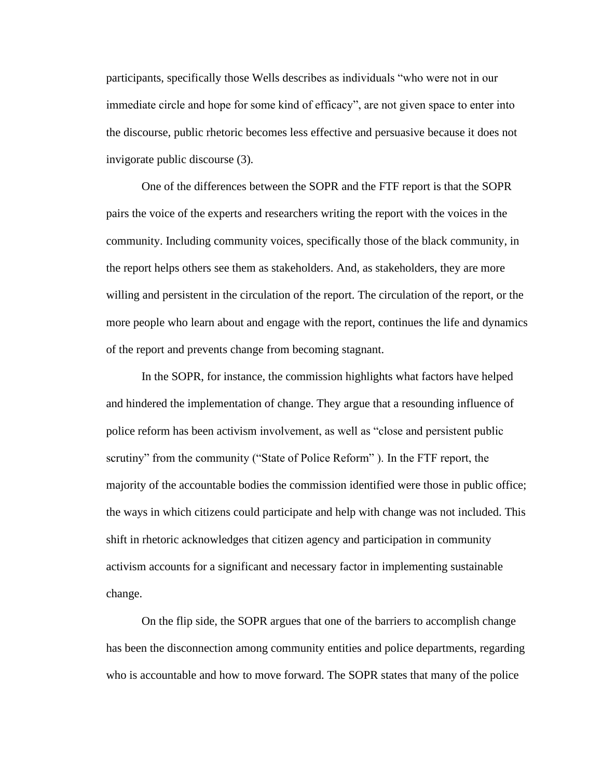participants, specifically those Wells describes as individuals "who were not in our immediate circle and hope for some kind of efficacy", are not given space to enter into the discourse, public rhetoric becomes less effective and persuasive because it does not invigorate public discourse (3).

One of the differences between the SOPR and the FTF report is that the SOPR pairs the voice of the experts and researchers writing the report with the voices in the community. Including community voices, specifically those of the black community, in the report helps others see them as stakeholders. And, as stakeholders, they are more willing and persistent in the circulation of the report. The circulation of the report, or the more people who learn about and engage with the report, continues the life and dynamics of the report and prevents change from becoming stagnant.

In the SOPR, for instance, the commission highlights what factors have helped and hindered the implementation of change. They argue that a resounding influence of police reform has been activism involvement, as well as "close and persistent public scrutiny" from the community ("State of Police Reform" ). In the FTF report, the majority of the accountable bodies the commission identified were those in public office; the ways in which citizens could participate and help with change was not included. This shift in rhetoric acknowledges that citizen agency and participation in community activism accounts for a significant and necessary factor in implementing sustainable change.

On the flip side, the SOPR argues that one of the barriers to accomplish change has been the disconnection among community entities and police departments, regarding who is accountable and how to move forward. The SOPR states that many of the police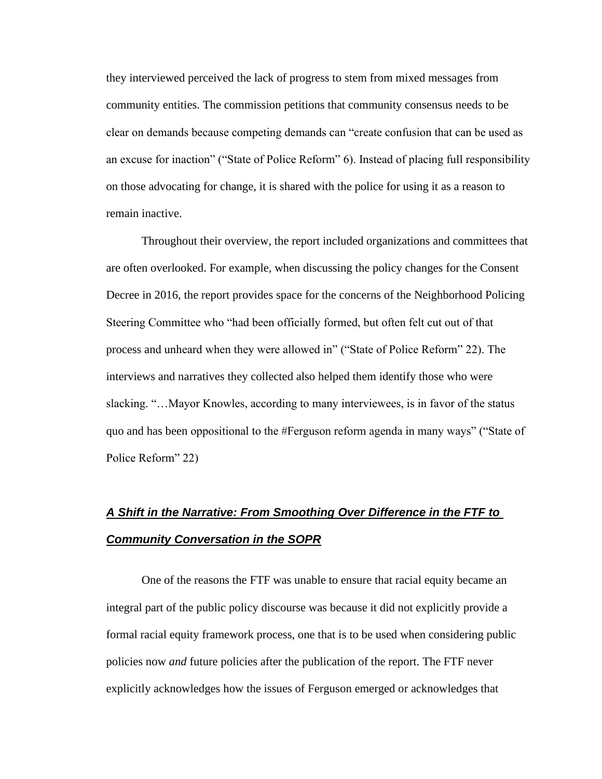they interviewed perceived the lack of progress to stem from mixed messages from community entities. The commission petitions that community consensus needs to be clear on demands because competing demands can "create confusion that can be used as an excuse for inaction" ("State of Police Reform" 6). Instead of placing full responsibility on those advocating for change, it is shared with the police for using it as a reason to remain inactive.

Throughout their overview, the report included organizations and committees that are often overlooked. For example, when discussing the policy changes for the Consent Decree in 2016, the report provides space for the concerns of the Neighborhood Policing Steering Committee who "had been officially formed, but often felt cut out of that process and unheard when they were allowed in" ("State of Police Reform" 22). The interviews and narratives they collected also helped them identify those who were slacking. "…Mayor Knowles, according to many interviewees, is in favor of the status quo and has been oppositional to the #Ferguson reform agenda in many ways" ("State of Police Reform" 22)

# *A Shift in the Narrative: From Smoothing Over Difference in the FTF to Community Conversation in the SOPR*

One of the reasons the FTF was unable to ensure that racial equity became an integral part of the public policy discourse was because it did not explicitly provide a formal racial equity framework process, one that is to be used when considering public policies now *and* future policies after the publication of the report. The FTF never explicitly acknowledges how the issues of Ferguson emerged or acknowledges that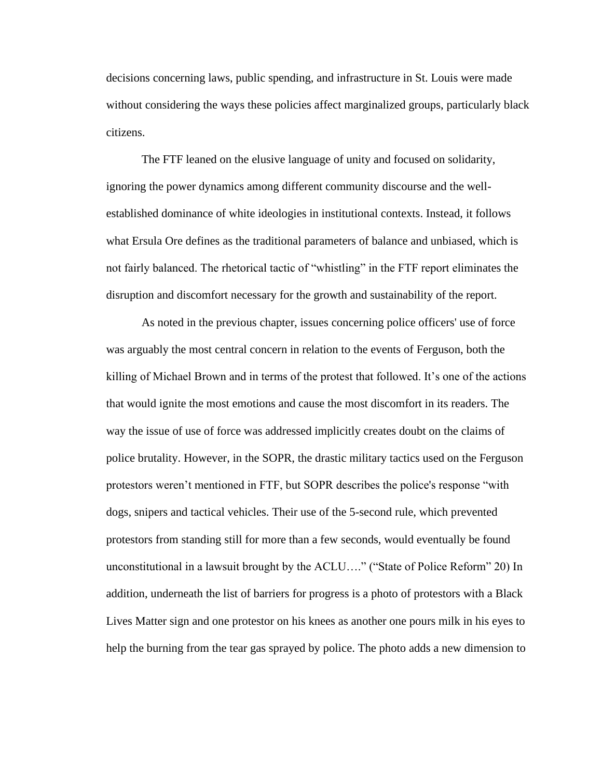decisions concerning laws, public spending, and infrastructure in St. Louis were made without considering the ways these policies affect marginalized groups, particularly black citizens.

 The FTF leaned on the elusive language of unity and focused on solidarity, ignoring the power dynamics among different community discourse and the wellestablished dominance of white ideologies in institutional contexts. Instead, it follows what Ersula Ore defines as the traditional parameters of balance and unbiased, which is not fairly balanced. The rhetorical tactic of "whistling" in the FTF report eliminates the disruption and discomfort necessary for the growth and sustainability of the report.

As noted in the previous chapter, issues concerning police officers' use of force was arguably the most central concern in relation to the events of Ferguson, both the killing of Michael Brown and in terms of the protest that followed. It's one of the actions that would ignite the most emotions and cause the most discomfort in its readers. The way the issue of use of force was addressed implicitly creates doubt on the claims of police brutality. However, in the SOPR, the drastic military tactics used on the Ferguson protestors weren't mentioned in FTF, but SOPR describes the police's response "with dogs, snipers and tactical vehicles. Their use of the 5-second rule, which prevented protestors from standing still for more than a few seconds, would eventually be found unconstitutional in a lawsuit brought by the ACLU…." ("State of Police Reform" 20) In addition, underneath the list of barriers for progress is a photo of protestors with a Black Lives Matter sign and one protestor on his knees as another one pours milk in his eyes to help the burning from the tear gas sprayed by police. The photo adds a new dimension to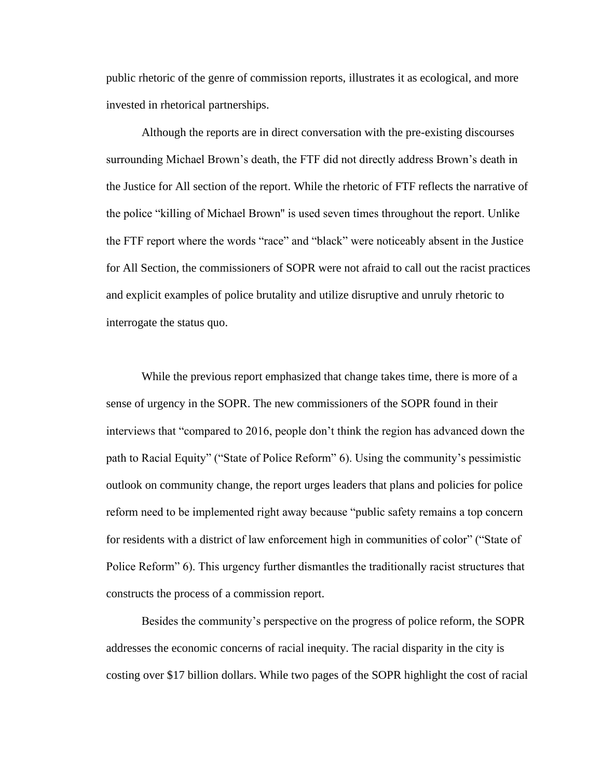public rhetoric of the genre of commission reports, illustrates it as ecological, and more invested in rhetorical partnerships.

Although the reports are in direct conversation with the pre-existing discourses surrounding Michael Brown's death, the FTF did not directly address Brown's death in the Justice for All section of the report. While the rhetoric of FTF reflects the narrative of the police "killing of Michael Brown'' is used seven times throughout the report. Unlike the FTF report where the words "race" and "black" were noticeably absent in the Justice for All Section, the commissioners of SOPR were not afraid to call out the racist practices and explicit examples of police brutality and utilize disruptive and unruly rhetoric to interrogate the status quo.

 While the previous report emphasized that change takes time, there is more of a sense of urgency in the SOPR. The new commissioners of the SOPR found in their interviews that "compared to 2016, people don't think the region has advanced down the path to Racial Equity" ("State of Police Reform" 6). Using the community's pessimistic outlook on community change, the report urges leaders that plans and policies for police reform need to be implemented right away because "public safety remains a top concern for residents with a district of law enforcement high in communities of color" ("State of Police Reform" 6). This urgency further dismantles the traditionally racist structures that constructs the process of a commission report.

 Besides the community's perspective on the progress of police reform, the SOPR addresses the economic concerns of racial inequity. The racial disparity in the city is costing over \$17 billion dollars. While two pages of the SOPR highlight the cost of racial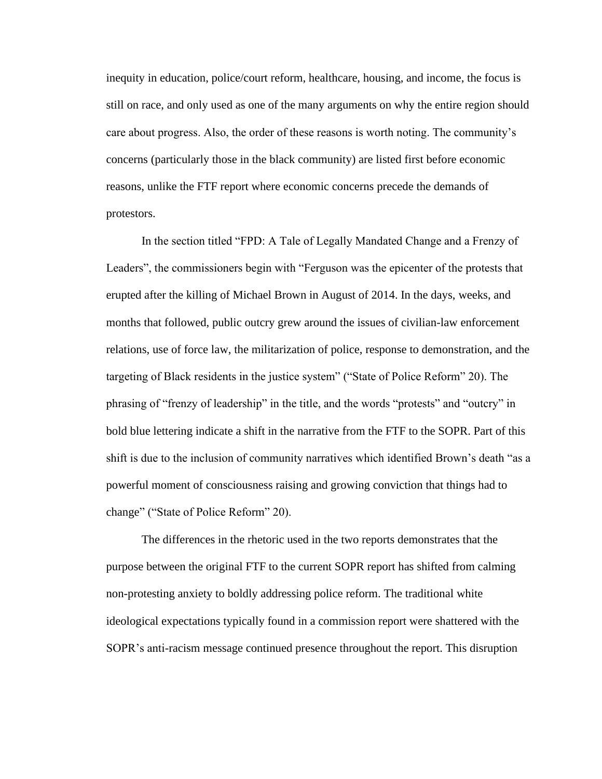inequity in education, police/court reform, healthcare, housing, and income, the focus is still on race, and only used as one of the many arguments on why the entire region should care about progress. Also, the order of these reasons is worth noting. The community's concerns (particularly those in the black community) are listed first before economic reasons, unlike the FTF report where economic concerns precede the demands of protestors.

In the section titled "FPD: A Tale of Legally Mandated Change and a Frenzy of Leaders", the commissioners begin with "Ferguson was the epicenter of the protests that erupted after the killing of Michael Brown in August of 2014. In the days, weeks, and months that followed, public outcry grew around the issues of civilian-law enforcement relations, use of force law, the militarization of police, response to demonstration, and the targeting of Black residents in the justice system" ("State of Police Reform" 20). The phrasing of "frenzy of leadership" in the title, and the words "protests" and "outcry" in bold blue lettering indicate a shift in the narrative from the FTF to the SOPR. Part of this shift is due to the inclusion of community narratives which identified Brown's death "as a powerful moment of consciousness raising and growing conviction that things had to change" ("State of Police Reform" 20).

The differences in the rhetoric used in the two reports demonstrates that the purpose between the original FTF to the current SOPR report has shifted from calming non-protesting anxiety to boldly addressing police reform. The traditional white ideological expectations typically found in a commission report were shattered with the SOPR's anti-racism message continued presence throughout the report. This disruption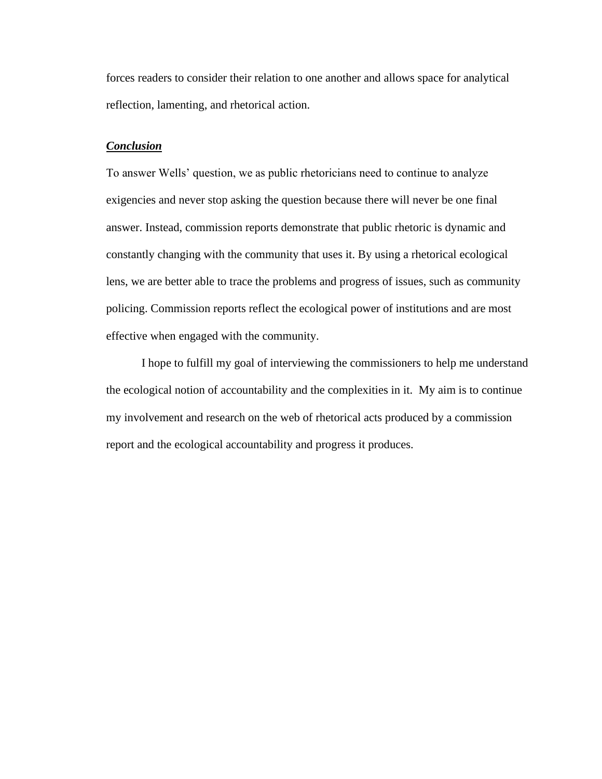forces readers to consider their relation to one another and allows space for analytical reflection, lamenting, and rhetorical action.

### *Conclusion*

To answer Wells' question, we as public rhetoricians need to continue to analyze exigencies and never stop asking the question because there will never be one final answer. Instead, commission reports demonstrate that public rhetoric is dynamic and constantly changing with the community that uses it. By using a rhetorical ecological lens, we are better able to trace the problems and progress of issues, such as community policing. Commission reports reflect the ecological power of institutions and are most effective when engaged with the community.

I hope to fulfill my goal of interviewing the commissioners to help me understand the ecological notion of accountability and the complexities in it. My aim is to continue my involvement and research on the web of rhetorical acts produced by a commission report and the ecological accountability and progress it produces.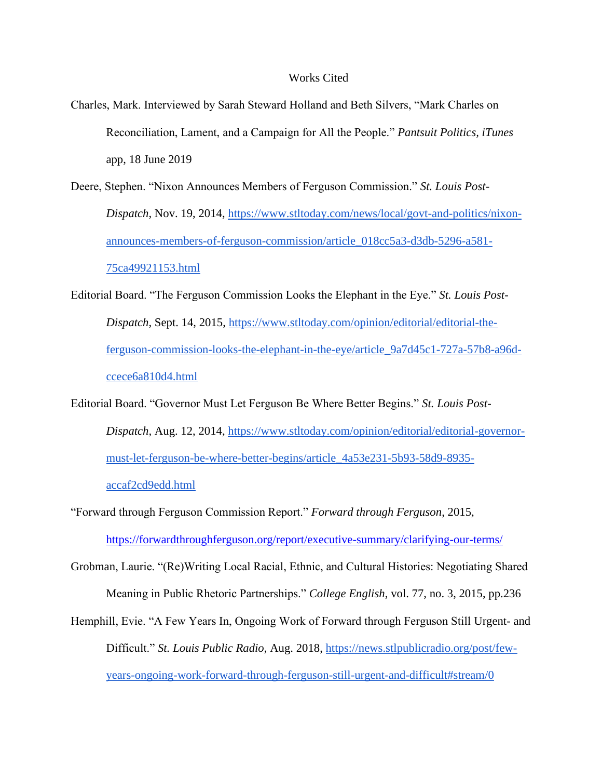#### Works Cited

- Charles, Mark. Interviewed by Sarah Steward Holland and Beth Silvers, "Mark Charles on Reconciliation, Lament, and a Campaign for All the People." *Pantsuit Politics, iTunes* app, 18 June 2019
- Deere, Stephen. "Nixon Announces Members of Ferguson Commission." *St. Louis Post-Dispatch*, Nov. 19, 2014[,](https://www.stltoday.com/news/local/govt-and-politics/nixon-announces-members-of-ferguson-commission/article_018cc5a3-d3db-5296-a581-75ca49921153.html) [https://www.stltoday.com/news/local/govt-and-politics/nixon](https://www.stltoday.com/news/local/govt-and-politics/nixon-announces-members-of-ferguson-commission/article_018cc5a3-d3db-5296-a581-75ca49921153.html)[announces-members-of-ferguson-commission/article\\_018cc5a3-d3db-5296-a581-](https://www.stltoday.com/news/local/govt-and-politics/nixon-announces-members-of-ferguson-commission/article_018cc5a3-d3db-5296-a581-75ca49921153.html) [75ca49921153.html](https://www.stltoday.com/news/local/govt-and-politics/nixon-announces-members-of-ferguson-commission/article_018cc5a3-d3db-5296-a581-75ca49921153.html)
- Editorial Board. "The Ferguson Commission Looks the Elephant in the Eye." *St. Louis Post-Dispatch*, Sept. 14, 2015[,](https://www.stltoday.com/opinion/editorial/editorial-the-ferguson-commission-looks-the-elephant-in-the-eye/article_9a7d45c1-727a-57b8-a96d-ccece6a810d4.html) [https://www.stltoday.com/opinion/editorial/editorial-the](https://www.stltoday.com/opinion/editorial/editorial-the-ferguson-commission-looks-the-elephant-in-the-eye/article_9a7d45c1-727a-57b8-a96d-ccece6a810d4.html)[ferguson-commission-looks-the-elephant-in-the-eye/article\\_9a7d45c1-727a-57b8-a96d](https://www.stltoday.com/opinion/editorial/editorial-the-ferguson-commission-looks-the-elephant-in-the-eye/article_9a7d45c1-727a-57b8-a96d-ccece6a810d4.html)[ccece6a810d4.html](https://www.stltoday.com/opinion/editorial/editorial-the-ferguson-commission-looks-the-elephant-in-the-eye/article_9a7d45c1-727a-57b8-a96d-ccece6a810d4.html)
- Editorial Board. "Governor Must Let Ferguson Be Where Better Begins." *St. Louis Post-Dispatch,* Aug. 12, 2014[,](https://www.stltoday.com/opinion/editorial/editorial-governor-must-let-ferguson-be-where-better-begins/article_4a53e231-5b93-58d9-8935-accaf2cd9edd.html) [https://www.stltoday.com/opinion/editorial/editorial-governor](https://www.stltoday.com/opinion/editorial/editorial-governor-must-let-ferguson-be-where-better-begins/article_4a53e231-5b93-58d9-8935-accaf2cd9edd.html)[must-let-ferguson-be-where-better-begins/article\\_4a53e231-5b93-58d9-8935](https://www.stltoday.com/opinion/editorial/editorial-governor-must-let-ferguson-be-where-better-begins/article_4a53e231-5b93-58d9-8935-accaf2cd9edd.html) [accaf2cd9edd.html](https://www.stltoday.com/opinion/editorial/editorial-governor-must-let-ferguson-be-where-better-begins/article_4a53e231-5b93-58d9-8935-accaf2cd9edd.html)
- "Forward through Ferguson Commission Report." *Forward through Ferguson*, 2015, <https://forwardthroughferguson.org/report/executive-summary/clarifying-our-terms/>
- Grobman, Laurie. "(Re)Writing Local Racial, Ethnic, and Cultural Histories: Negotiating Shared Meaning in Public Rhetoric Partnerships." *College English*, vol. 77, no. 3, 2015, pp.236
- Hemphill, Evie. "A Few Years In, Ongoing Work of Forward through Ferguson Still Urgent- and Difficult." *St. Louis Public Radio*, Aug. 2018, [https://news.stlpublicradio.org/post/few](https://news.stlpublicradio.org/post/few-years-ongoing-work-forward-through-ferguson-still-urgent-and-difficult#stream/0)[years-ongoing-work-forward-through-ferguson-still-urgent-and-difficult#stream/0](https://news.stlpublicradio.org/post/few-years-ongoing-work-forward-through-ferguson-still-urgent-and-difficult#stream/0)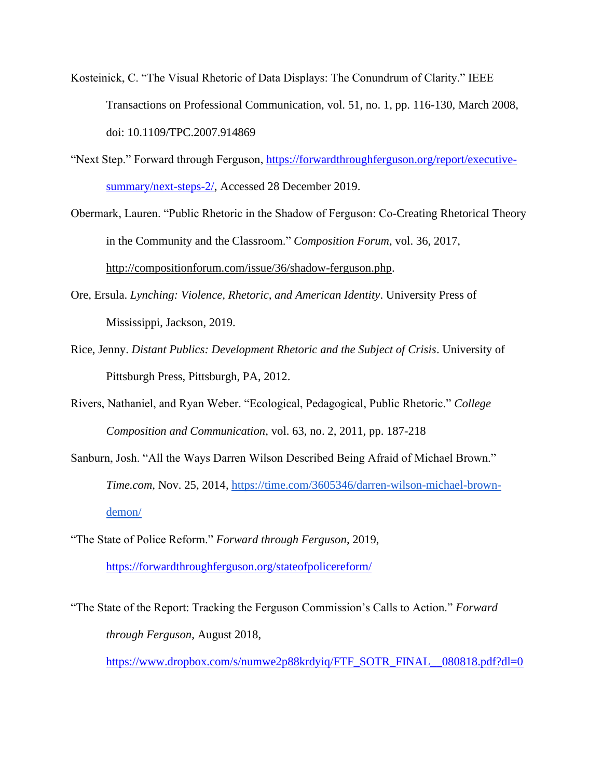- Kosteinick, C. "The Visual Rhetoric of Data Displays: The Conundrum of Clarity." IEEE Transactions on Professional Communication, vol. 51, no. 1, pp. 116-130, March 2008, doi: 10.1109/TPC.2007.914869
- "Next Step." Forward through Ferguson, [https://forwardthroughferguson.org/report/executive](https://forwardthroughferguson.org/report/executive-summary/next-steps-2/)[summary/next-steps-2/,](https://forwardthroughferguson.org/report/executive-summary/next-steps-2/) Accessed 28 December 2019.
- Obermark, Lauren. "Public Rhetoric in the Shadow of Ferguson: Co-Creating Rhetorical Theory in the Community and the Classroom." *Composition Forum*, vol. 36, 2017[,](http://compositionforum.com/issue/36/shadow-ferguson.php) [http://compositionforum.com/issue/36/shadow-ferguson.php.](http://compositionforum.com/issue/36/shadow-ferguson.php)
- Ore, Ersula. *Lynching: Violence, Rhetoric, and American Identity*. University Press of Mississippi, Jackson, 2019.
- Rice, Jenny. *Distant Publics: Development Rhetoric and the Subject of Crisis*. University of Pittsburgh Press, Pittsburgh, PA, 2012.
- Rivers, Nathaniel, and Ryan Weber. "Ecological, Pedagogical, Public Rhetoric." *College Composition and Communication*, vol. 63, no. 2, 2011, pp. 187-218
- Sanburn, Josh. "All the Ways Darren Wilson Described Being Afraid of Michael Brown." *Time.com*, Nov. 25, 2014[,](https://time.com/3605346/darren-wilson-michael-brown-demon/) [https://time.com/3605346/darren-wilson-michael-brown](https://time.com/3605346/darren-wilson-michael-brown-demon/)[demon/](https://time.com/3605346/darren-wilson-michael-brown-demon/)
- "The State of Police Reform." *Forward through Ferguson*, 2019, <https://forwardthroughferguson.org/stateofpolicereform/>
- "The State of the Report: Tracking the Ferguson Commission's Calls to Action." *Forward through Ferguson*, August 2018, [https://www.dropbox.com/s/numwe2p88krdyiq/FTF\\_SOTR\\_FINAL\\_\\_080818.pdf?dl=0](https://www.dropbox.com/s/numwe2p88krdyiq/FTF_SOTR_FINAL__080818.pdf?dl=0)